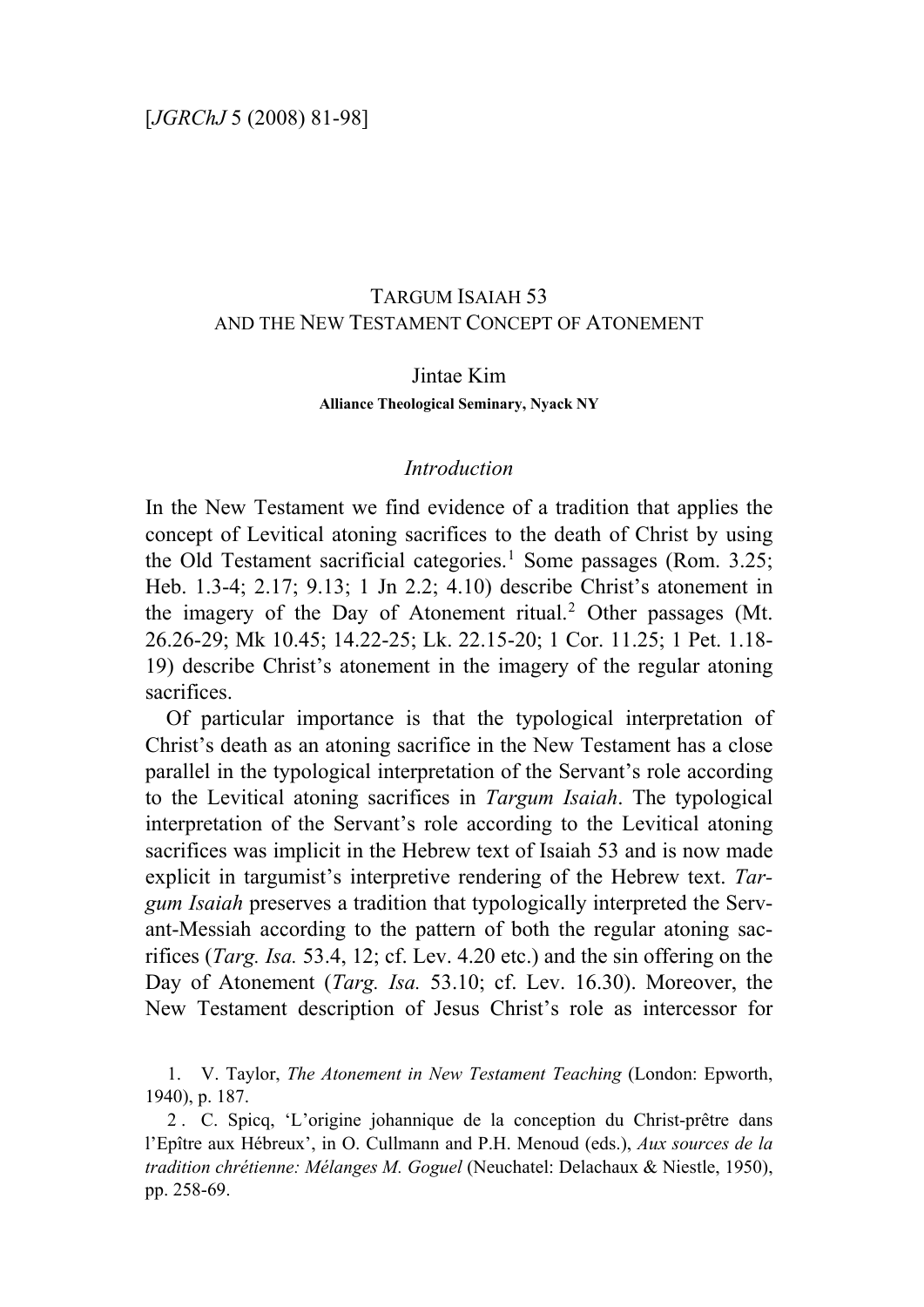# TARGUM ISAIAH 53 AND THE NEW TESTAMENT CONCEPT OF ATONEMENT

#### Jintae Kim

#### **Alliance Theological Seminary, Nyack NY**

## *Introduction*

In the New Testament we find evidence of a tradition that applies the concept of Levitical atoning sacrifices to the death of Christ by using the Old Testament sacrificial categories.<sup>[1](#page-0-0)</sup> Some passages (Rom. 3.25; Heb. 1.3-4; 2.17; 9.13; 1 Jn 2.2; 4.10) describe Christ's atonement in the imagery of the Day of Atonement ritual.<sup>[2](#page-0-1)</sup> Other passages (Mt. 26.26-29; Mk 10.45; 14.22-25; Lk. 22.15-20; 1 Cor. 11.25; 1 Pet. 1.18- 19) describe Christ's atonement in the imagery of the regular atoning sacrifices.

Of particular importance is that the typological interpretation of Christ's death as an atoning sacrifice in the New Testament has a close parallel in the typological interpretation of the Servant's role according to the Levitical atoning sacrifices in *Targum Isaiah*. The typological interpretation of the Servant's role according to the Levitical atoning sacrifices was implicit in the Hebrew text of Isaiah 53 and is now made explicit in targumist's interpretive rendering of the Hebrew text. *Targum Isaiah* preserves a tradition that typologically interpreted the Servant-Messiah according to the pattern of both the regular atoning sacrifices (*Targ. Isa.* 53.4, 12; cf. Lev. 4.20 etc.) and the sin offering on the Day of Atonement (*Targ. Isa.* 53.10; cf. Lev. 16.30). Moreover, the New Testament description of Jesus Christ's role as intercessor for

<span id="page-0-0"></span>1. V. Taylor, *The Atonement in New Testament Teaching* (London: Epworth, 1940), p. 187.

<span id="page-0-1"></span>2 . C. Spicq, 'L'origine johannique de la conception du Christ-prêtre dans l'Epître aux Hébreux', in O. Cullmann and P.H. Menoud (eds.), *Aux sources de la tradition chrétienne: Mélanges M. Goguel* (Neuchatel: Delachaux & Niestle, 1950), pp. 258-69.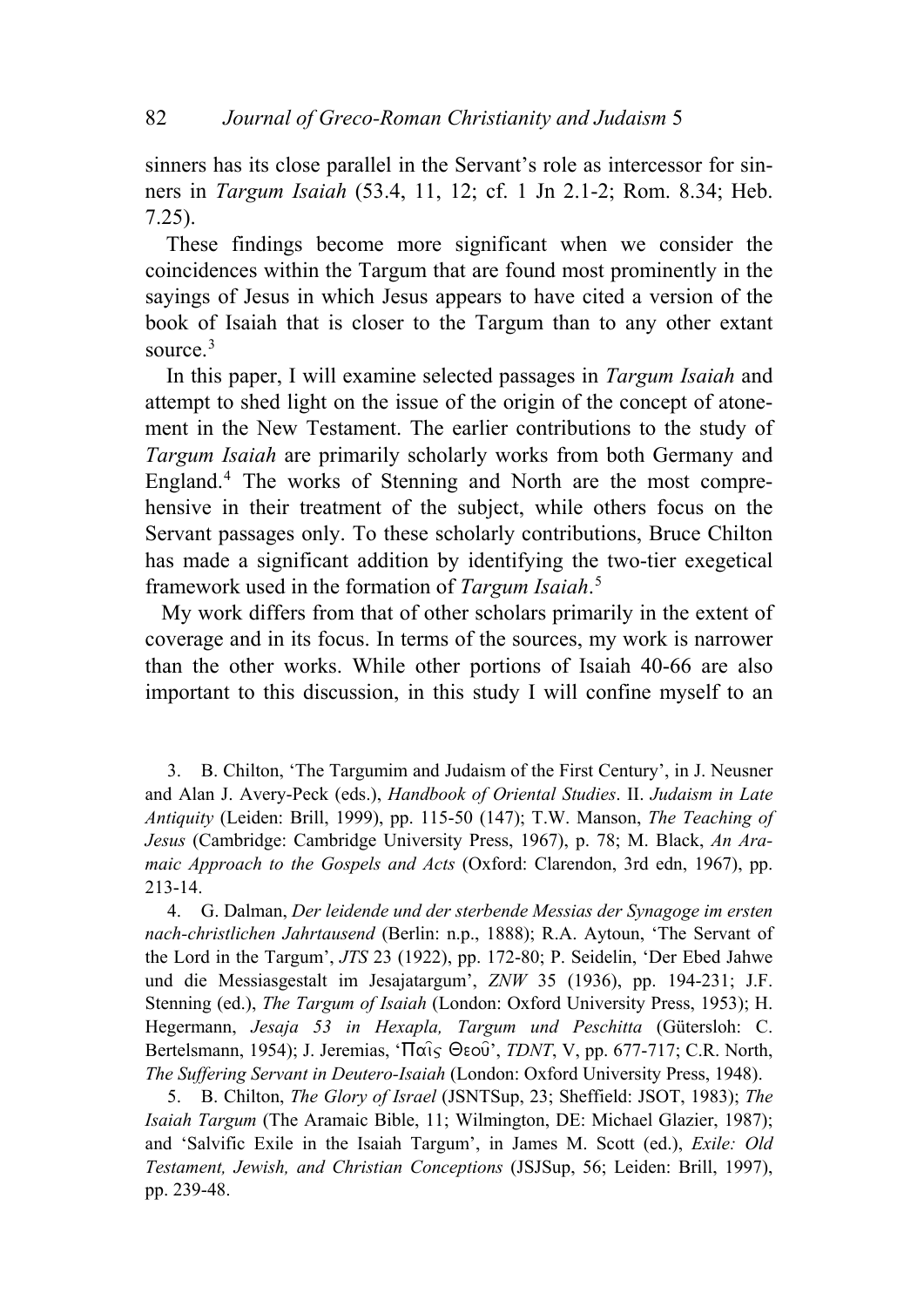sinners has its close parallel in the Servant's role as intercessor for sinners in *Targum Isaiah* (53.4, 11, 12; cf. 1 Jn 2.1-2; Rom. 8.34; Heb. 7.25).

These findings become more significant when we consider the coincidences within the Targum that are found most prominently in the sayings of Jesus in which Jesus appears to have cited a version of the book of Isaiah that is closer to the Targum than to any other extant source.<sup>[3](#page-1-0)</sup>

In this paper, I will examine selected passages in *Targum Isaiah* and attempt to shed light on the issue of the origin of the concept of atonement in the New Testament. The earlier contributions to the study of *Targum Isaiah* are primarily scholarly works from both Germany and England.<sup>[4](#page-1-1)</sup> The works of Stenning and North are the most comprehensive in their treatment of the subject, while others focus on the Servant passages only. To these scholarly contributions, Bruce Chilton has made a significant addition by identifying the two-tier exegetical framework used in the formation of *Targum Isaiah*. [5](#page-1-2)

My work differs from that of other scholars primarily in the extent of coverage and in its focus. In terms of the sources, my work is narrower than the other works. While other portions of Isaiah 40-66 are also important to this discussion, in this study I will confine myself to an

<span id="page-1-0"></span>3. B. Chilton, 'The Targumim and Judaism of the First Century', in J. Neusner and Alan J. Avery-Peck (eds.), *Handbook of Oriental Studies*. II. *Judaism in Late Antiquity* (Leiden: Brill, 1999), pp. 115-50 (147); T.W. Manson, *The Teaching of Jesus* (Cambridge: Cambridge University Press, 1967), p. 78; M. Black, *An Aramaic Approach to the Gospels and Acts* (Oxford: Clarendon, 3rd edn, 1967), pp. 213-14.

<span id="page-1-1"></span>4. G. Dalman, *Der leidende und der sterbende Messias der Synagoge im ersten nach-christlichen Jahrtausend* (Berlin: n.p., 1888); R.A. Aytoun, 'The Servant of the Lord in the Targum', *JTS* 23 (1922), pp. 172-80; P. Seidelin, 'Der Ebed Jahwe und die Messiasgestalt im Jesajatargum', *ZNW* 35 (1936), pp. 194-231; J.F. Stenning (ed.), *The Targum of Isaiah* (London: Oxford University Press, 1953); H. Hegermann, *Jesaja 53 in Hexapla, Targum und Peschitta* (Gütersloh: C. Bertelsmann, 1954); J. Jeremias, ' $\Pi$ αις Θεού', *TDNT*, V, pp. 677-717; C.R. North, *The Suffering Servant in Deutero-Isaiah* (London: Oxford University Press, 1948).

<span id="page-1-2"></span>5. B. Chilton, *The Glory of Israel* (JSNTSup, 23; Sheffield: JSOT, 1983); *The Isaiah Targum* (The Aramaic Bible, 11; Wilmington, DE: Michael Glazier, 1987); and 'Salvific Exile in the Isaiah Targum', in James M. Scott (ed.), *Exile: Old Testament, Jewish, and Christian Conceptions* (JSJSup, 56; Leiden: Brill, 1997), pp. 239-48.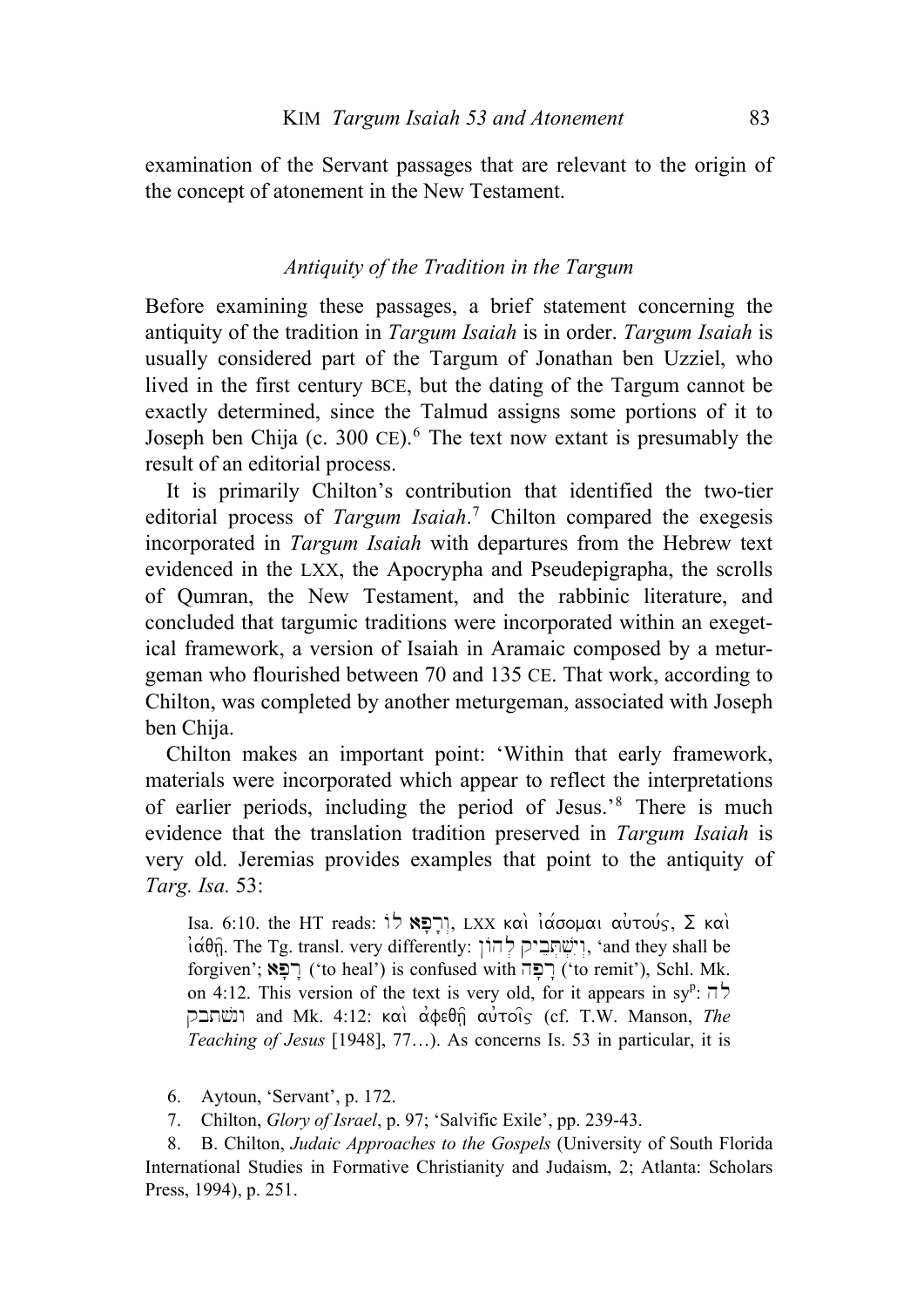examination of the Servant passages that are relevant to the origin of the concept of atonement in the New Testament.

## *Antiquity of the Tradition in the Targum*

Before examining these passages, a brief statement concerning the antiquity of the tradition in *Targum Isaiah* is in order. *Targum Isaiah* is usually considered part of the Targum of Jonathan ben Uzziel, who lived in the first century BCE, but the dating of the Targum cannot be exactly determined, since the Talmud assigns some portions of it to Joseph ben Chija (c. 300 CE).<sup>[6](#page-2-0)</sup> The text now extant is presumably the result of an editorial process.

It is primarily Chilton's contribution that identified the two-tier editorial process of *Targum Isaiah*. [7](#page-2-1) Chilton compared the exegesis incorporated in *Targum Isaiah* with departures from the Hebrew text evidenced in the LXX, the Apocrypha and Pseudepigrapha, the scrolls of Qumran, the New Testament, and the rabbinic literature, and concluded that targumic traditions were incorporated within an exegetical framework, a version of Isaiah in Aramaic composed by a meturgeman who flourished between 70 and 135 CE. That work, according to Chilton, was completed by another meturgeman, associated with Joseph ben Chija.

Chilton makes an important point: 'Within that early framework, materials were incorporated which appear to reflect the interpretations of earlier periods, including the period of Jesus.'[8](#page-2-2) There is much evidence that the translation tradition preserved in *Targum Isaiah* is very old. Jeremias provides examples that point to the antiquity of *Targ. Isa.* 53:

Isa. 6:10. the HT reads:  $\frac{1}{2}$  ΓΙ, LXX και ιάσομαι αυτούς, Σ και  $i\alpha\theta\hat{n}$ . The Tg. transl. very differently: וישׁתְביק להוֹן, 'and they shall be  $f$ forgiven'; רפא) ('to heal') is confused with רפה ('to remit'), Schl. Mk. on 4:12. This version of the text is very old, for it appears in sy<sup>p</sup>:  $\overline{\phantom{a}}$ qbt#\$nw and Mk. 4:12: kai\ a0feqh=| au0toi=j (cf. T.W. Manson, *The Teaching of Jesus* [1948], 77…). As concerns Is. 53 in particular, it is

6. Aytoun, 'Servant', p. 172.

7. Chilton, *Glory of Israel*, p. 97; 'Salvific Exile', pp. 239-43.

<span id="page-2-2"></span><span id="page-2-1"></span><span id="page-2-0"></span>8. B. Chilton, *Judaic Approaches to the Gospels* (University of South Florida International Studies in Formative Christianity and Judaism, 2; Atlanta: Scholars Press, 1994), p. 251.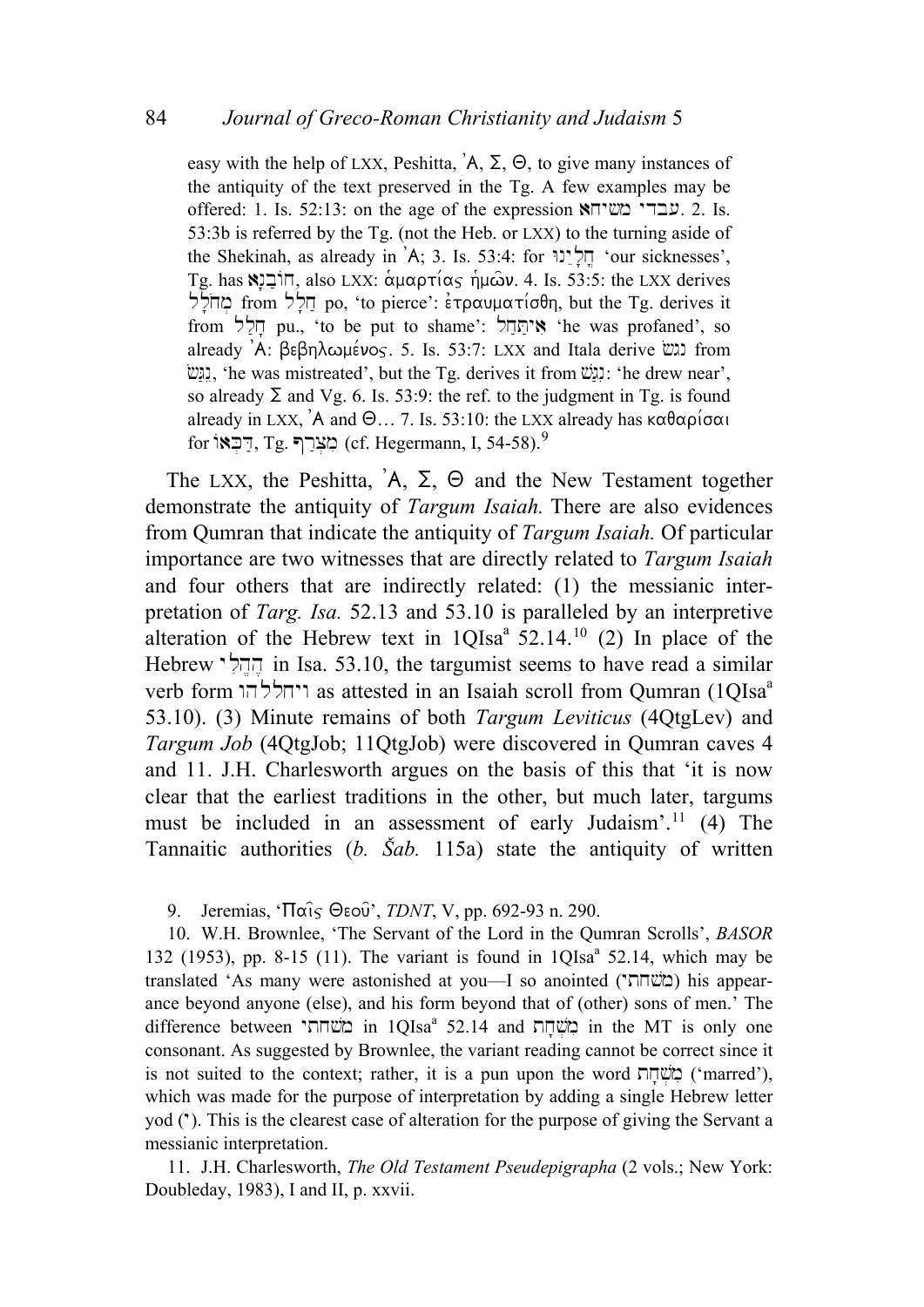easy with the help of LXX, Peshitta,  $A$ ,  $\Sigma$ ,  $\Theta$ , to give many instances of the antiquity of the text preserved in the Tg. A few examples may be offered: 1. Is. 52:13: on the age of the expression  $\sum_{i=1}^{\infty}$   $\sum_{i=1}^{\infty}$  2. Is. 53:3b is referred by the Tg. (not the Heb. or LXX) to the turning aside of the Shekinah, as already in 'A; 3. Is. 53:4: for  $\mathbb{R}^3$  'our sicknesses', Tg. has  $\Xi$ iΠ, also LXX: αμαρτίας ήμων. 4. Is. 53:5: the LXX derives מחלל from hct po, 'to pierce':  $\epsilon \tau \rho \alpha \nu \mu \alpha \tau (\sigma \theta)$ , but the Tg. derives it from אֲיִחֲדָל pu., 'to be put to shame': אִיחֲדָל 'he was profaned', so already 'A: βεβηλωμένος. 5. Is. 53:7: LXX and Itala derive  $\lim_{n \to \infty}$  from  $\dddot{\mathbb{E}}$ I, 'he was mistreated', but the Tg. derives it from  $\dddot{\mathbb{E}}$ : 'he drew near', so already  $\Sigma$  and Vg. 6. Is. 53:9: the ref. to the judgment in Tg. is found already in LXX,  $\hat{A}$  and  $\Theta_{...}$  7. Is. 53:10: the LXX already has  $\kappa \alpha \theta \alpha \beta \alpha \alpha$ for רְבָאוֹ (cf. Hegermann, I, 54-58).<sup>[9](#page-3-0)</sup>

The LXX, the Peshitta,  $A$ ,  $\Sigma$ ,  $\Theta$  and the New Testament together demonstrate the antiquity of *Targum Isaiah.* There are also evidences from Qumran that indicate the antiquity of *Targum Isaiah.* Of particular importance are two witnesses that are directly related to *Targum Isaiah* and four others that are indirectly related: (1) the messianic interpretation of *Targ. Isa.* 52.13 and 53.10 is paralleled by an interpretive alteration of the Hebrew text in  $1OIsa^2$  52.14.<sup>[10](#page-3-1)</sup> (2) In place of the Hebrew  $\vec{r}$ ההל $\vec{r}$  in Isa. 53.10, the targumist seems to have read a similar verb form ויחללהו as attested in an Isaiah scroll from Qumran (1QIsa<sup>a</sup> 53.10). (3) Minute remains of both *Targum Leviticus* (4QtgLev) and *Targum Job* (4QtgJob; 11QtgJob) were discovered in Qumran caves 4 and 11. J.H. Charlesworth argues on the basis of this that 'it is now clear that the earliest traditions in the other, but much later, targums must be included in an assessment of early Judaism'.[11](#page-3-2) (4) The Tannaitic authorities (*b. Šab.* 115a) state the antiquity of written

9. Jeremias, ' $\Pi$  $\alpha$ i $\varsigma$   $\Theta$ εού', *TDNT*, V, pp. 692-93 n. 290.

<span id="page-3-1"></span><span id="page-3-0"></span>10. W.H. Brownlee, 'The Servant of the Lord in the Qumran Scrolls', *BASOR* 132 (1953), pp. 8-15 (11). The variant is found in 1QIsa<sup>a</sup> 52.14, which may be translated 'As many were astonished at you--I so anointed ("משחתי) his appearance beyond anyone (else), and his form beyond that of (other) sons of men.' The difference between מֹשׂחתי in 1QIsa<sup>a</sup> 52.14 and מִשְּׁחָת in the MT is only one consonant. As suggested by Brownlee, the variant reading cannot be correct since it is not suited to the context; rather, it is a pun upon the word בְּוֹשֶׁהַת ('marred'), which was made for the purpose of interpretation by adding a single Hebrew letter yod (\*). This is the clearest case of alteration for the purpose of giving the Servant a messianic interpretation.

<span id="page-3-2"></span>11. J.H. Charlesworth, *The Old Testament Pseudepigrapha* (2 vols.; New York: Doubleday, 1983), I and II, p. xxvii.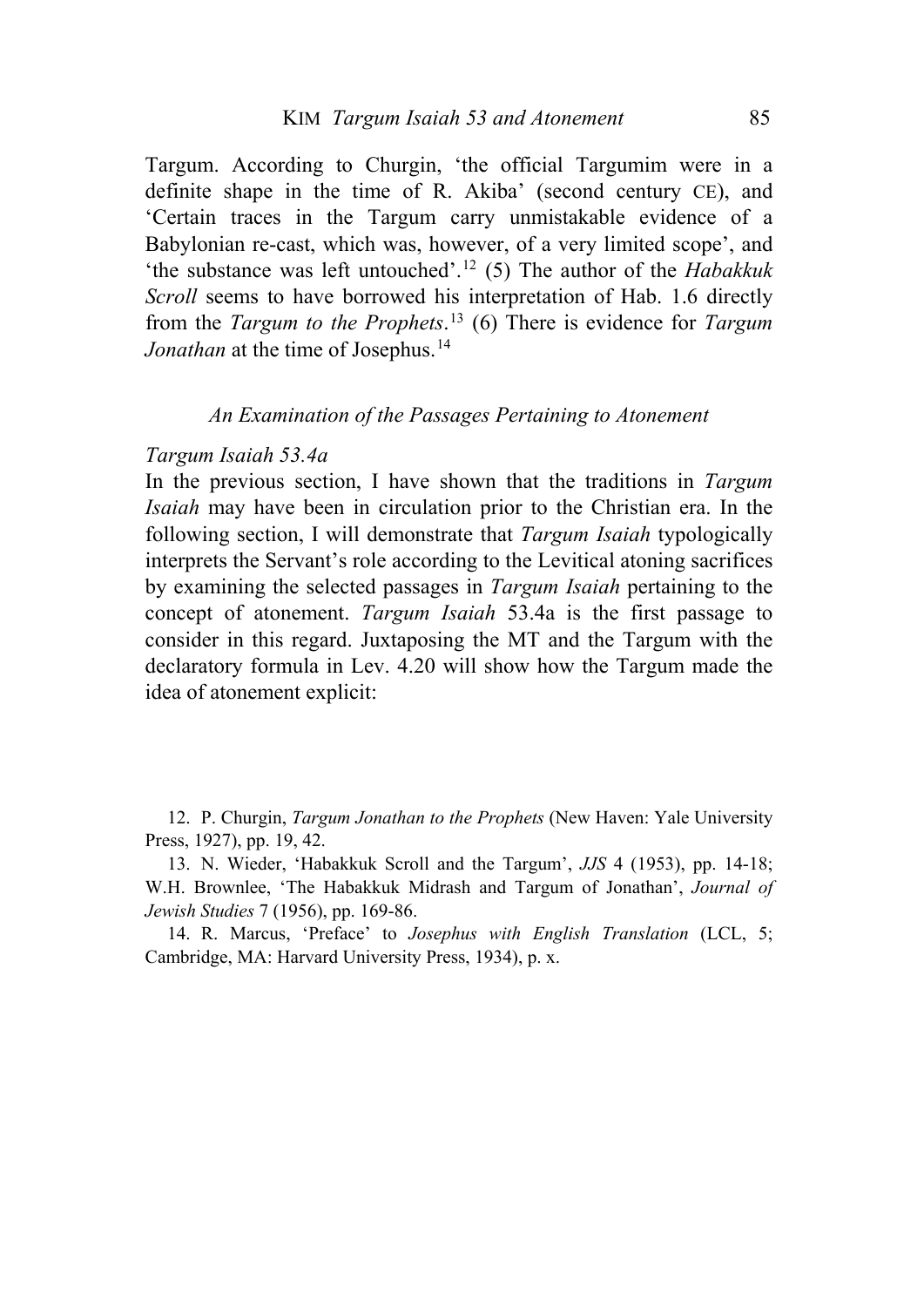Targum. According to Churgin, 'the official Targumim were in a definite shape in the time of R. Akiba' (second century CE), and 'Certain traces in the Targum carry unmistakable evidence of a Babylonian re-cast, which was, however, of a very limited scope', and 'the substance was left untouched'.[12](#page-4-0) (5) The author of the *Habakkuk Scroll* seems to have borrowed his interpretation of Hab. 1.6 directly from the *Targum to the Prophets*. [13](#page-4-1) (6) There is evidence for *Targum Jonathan* at the time of Josephus.<sup>[14](#page-4-2)</sup>

### *An Examination of the Passages Pertaining to Atonement*

#### *Targum Isaiah 53.4a*

In the previous section, I have shown that the traditions in *Targum Isaiah* may have been in circulation prior to the Christian era. In the following section, I will demonstrate that *Targum Isaiah* typologically interprets the Servant's role according to the Levitical atoning sacrifices by examining the selected passages in *Targum Isaiah* pertaining to the concept of atonement. *Targum Isaiah* 53.4a is the first passage to consider in this regard. Juxtaposing the MT and the Targum with the declaratory formula in Lev. 4.20 will show how the Targum made the idea of atonement explicit:

<span id="page-4-0"></span>12. P. Churgin, *Targum Jonathan to the Prophets* (New Haven: Yale University Press, 1927), pp. 19, 42.

<span id="page-4-1"></span>13. N. Wieder, 'Habakkuk Scroll and the Targum', *JJS* 4 (1953), pp. 14-18; W.H. Brownlee, 'The Habakkuk Midrash and Targum of Jonathan', *Journal of Jewish Studies* 7 (1956), pp. 169-86.

<span id="page-4-2"></span>14. R. Marcus, 'Preface' to *Josephus with English Translation* (LCL, 5; Cambridge, MA: Harvard University Press, 1934), p. x.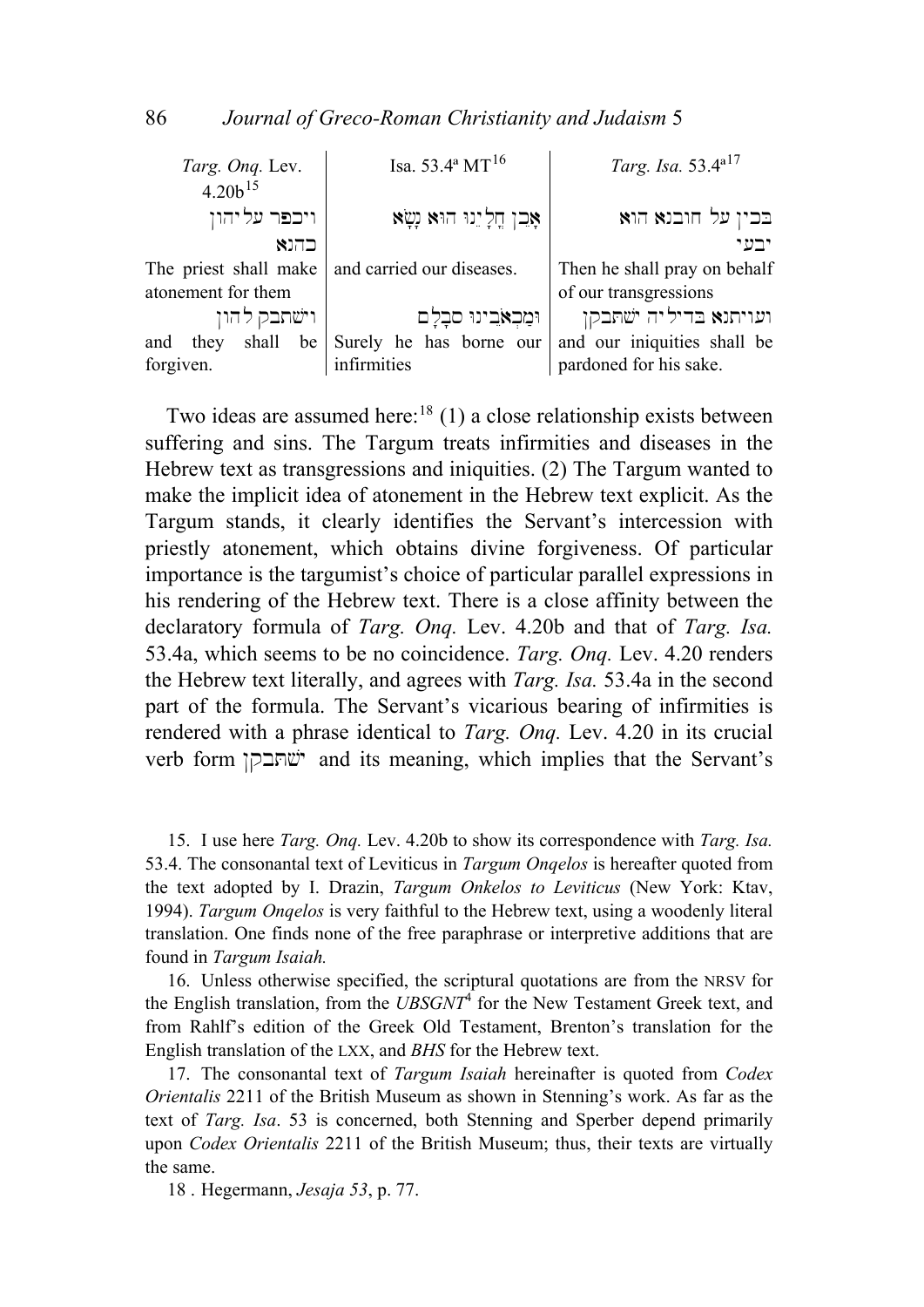| Targ. Onq. Lev.       | Isa. 53.4 <sup>a</sup> MT <sup>16</sup> | Targ. Isa. 53.4 <sup>a17</sup> |  |  |  |
|-----------------------|-----------------------------------------|--------------------------------|--|--|--|
| $4.20h^{15}$          |                                         |                                |  |  |  |
| ויכפר עליהון          | אָבן חֲלָיֵנוּ הוּא נְשָׂא              | בכין על חובנא הוא              |  |  |  |
| כהנא                  |                                         | ירט י                          |  |  |  |
| The priest shall make | and carried our diseases.               | Then he shall pray on behalf   |  |  |  |
| atonement for them    |                                         | of our transgressions          |  |  |  |
| וישתבק להון           | וּמַכְאֹבִינוּ סבְלָם                   | ועויתנא בדיליה ישתבקן          |  |  |  |
| and they shall        | be Surely he has borne our              | and our iniquities shall be    |  |  |  |
| forgiven.             | infirmities                             | pardoned for his sake.         |  |  |  |
|                       |                                         |                                |  |  |  |

Two ideas are assumed here:<sup>[18](#page-5-3)</sup> (1) a close relationship exists between suffering and sins. The Targum treats infirmities and diseases in the Hebrew text as transgressions and iniquities. (2) The Targum wanted to make the implicit idea of atonement in the Hebrew text explicit. As the Targum stands, it clearly identifies the Servant's intercession with priestly atonement, which obtains divine forgiveness. Of particular importance is the targumist's choice of particular parallel expressions in his rendering of the Hebrew text. There is a close affinity between the declaratory formula of *Targ. Onq.* Lev. 4.20b and that of *Targ. Isa.* 53.4a, which seems to be no coincidence. *Targ. Onq.* Lev. 4.20 renders the Hebrew text literally, and agrees with *Targ. Isa.* 53.4a in the second part of the formula. The Servant's vicarious bearing of infirmities is rendered with a phrase identical to *Targ. Onq.* Lev. 4.20 in its crucial verb form  $\ddot{v}$ שהבקן and its meaning, which implies that the Servant's

<span id="page-5-0"></span>15. I use here *Targ. Onq.* Lev. 4.20b to show its correspondence with *Targ. Isa.* 53.4. The consonantal text of Leviticus in *Targum Onqelos* is hereafter quoted from the text adopted by I. Drazin, *Targum Onkelos to Leviticus* (New York: Ktav, 1994). *Targum Onqelos* is very faithful to the Hebrew text, using a woodenly literal translation. One finds none of the free paraphrase or interpretive additions that are found in *Targum Isaiah.* 

<span id="page-5-1"></span>16. Unless otherwise specified, the scriptural quotations are from the NRSV for the English translation, from the *UBSGNT*<sup>4</sup> for the New Testament Greek text, and from Rahlf's edition of the Greek Old Testament, Brenton's translation for the English translation of the LXX, and *BHS* for the Hebrew text.

<span id="page-5-2"></span>17. The consonantal text of *Targum Isaiah* hereinafter is quoted from *Codex Orientalis* 2211 of the British Museum as shown in Stenning's work. As far as the text of *Targ. Isa*. 53 is concerned, both Stenning and Sperber depend primarily upon *Codex Orientalis* 2211 of the British Museum; thus, their texts are virtually the same.

<span id="page-5-3"></span>18 . Hegermann, *Jesaja 53*, p. 77.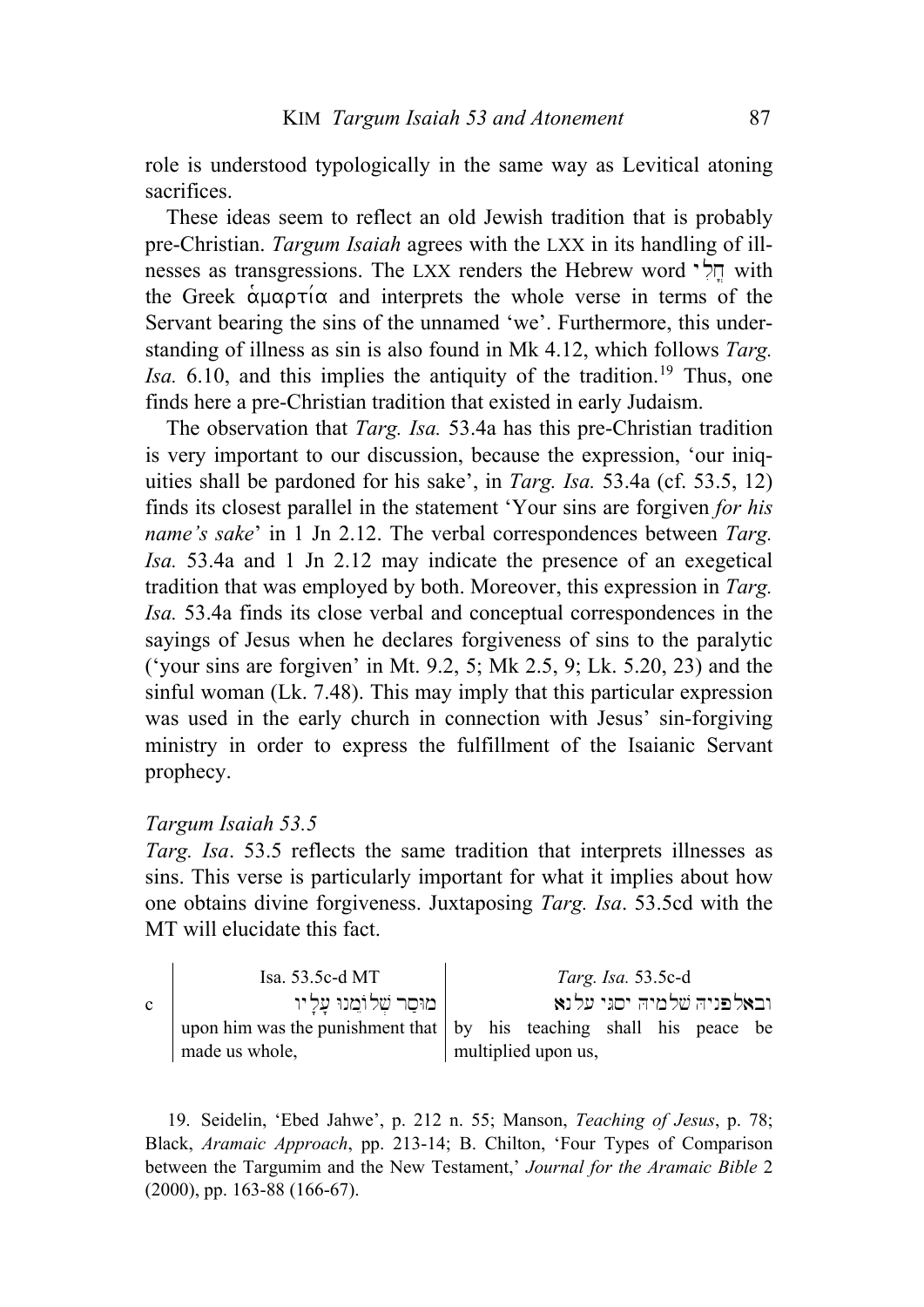role is understood typologically in the same way as Levitical atoning sacrifices.

These ideas seem to reflect an old Jewish tradition that is probably pre-Christian. *Targum Isaiah* agrees with the LXX in its handling of illnesses as transgressions. The LXX renders the Hebrew word  $\forall$  with the Greek  $\alpha\mu\alpha\rho\tau\alpha$  and interprets the whole verse in terms of the Servant bearing the sins of the unnamed 'we'. Furthermore, this understanding of illness as sin is also found in Mk 4.12, which follows *Targ. Isa.* 6.10, and this implies the antiquity of the tradition.<sup>[19](#page-6-0)</sup> Thus, one finds here a pre-Christian tradition that existed in early Judaism.

The observation that *Targ. Isa.* 53.4a has this pre-Christian tradition is very important to our discussion, because the expression, 'our iniquities shall be pardoned for his sake', in *Targ. Isa.* 53.4a (cf. 53.5, 12) finds its closest parallel in the statement 'Your sins are forgiven *for his name's sake*' in 1 Jn 2.12. The verbal correspondences between *Targ. Isa.* 53.4a and 1 Jn 2.12 may indicate the presence of an exegetical tradition that was employed by both. Moreover, this expression in *Targ. Isa.* 53.4a finds its close verbal and conceptual correspondences in the sayings of Jesus when he declares forgiveness of sins to the paralytic ('your sins are forgiven' in Mt. 9.2, 5; Mk 2.5, 9; Lk. 5.20, 23) and the sinful woman (Lk. 7.48). This may imply that this particular expression was used in the early church in connection with Jesus' sin-forgiving ministry in order to express the fulfillment of the Isaianic Servant prophecy.

### *Targum Isaiah 53.5*

*Targ. Isa*. 53.5 reflects the same tradition that interprets illnesses as sins. This verse is particularly important for what it implies about how one obtains divine forgiveness. Juxtaposing *Targ. Isa*. 53.5cd with the MT will elucidate this fact.

Isa. 53.5c-d MT *Targ. Isa.* 53.5c-d  $\mid$ ובאלפניה שלמיה יסגי עלנא  $\mid$ מוסר שלומנו עליו upon him was the punishment that  $\vert$  by his teaching shall his peace be made us whole, multiplied upon us,

<span id="page-6-0"></span>19. Seidelin, 'Ebed Jahwe', p. 212 n. 55; Manson, *Teaching of Jesus*, p. 78; Black, *Aramaic Approach*, pp. 213-14; B. Chilton, 'Four Types of Comparison between the Targumim and the New Testament,' *Journal for the Aramaic Bible* 2 (2000), pp. 163-88 (166-67).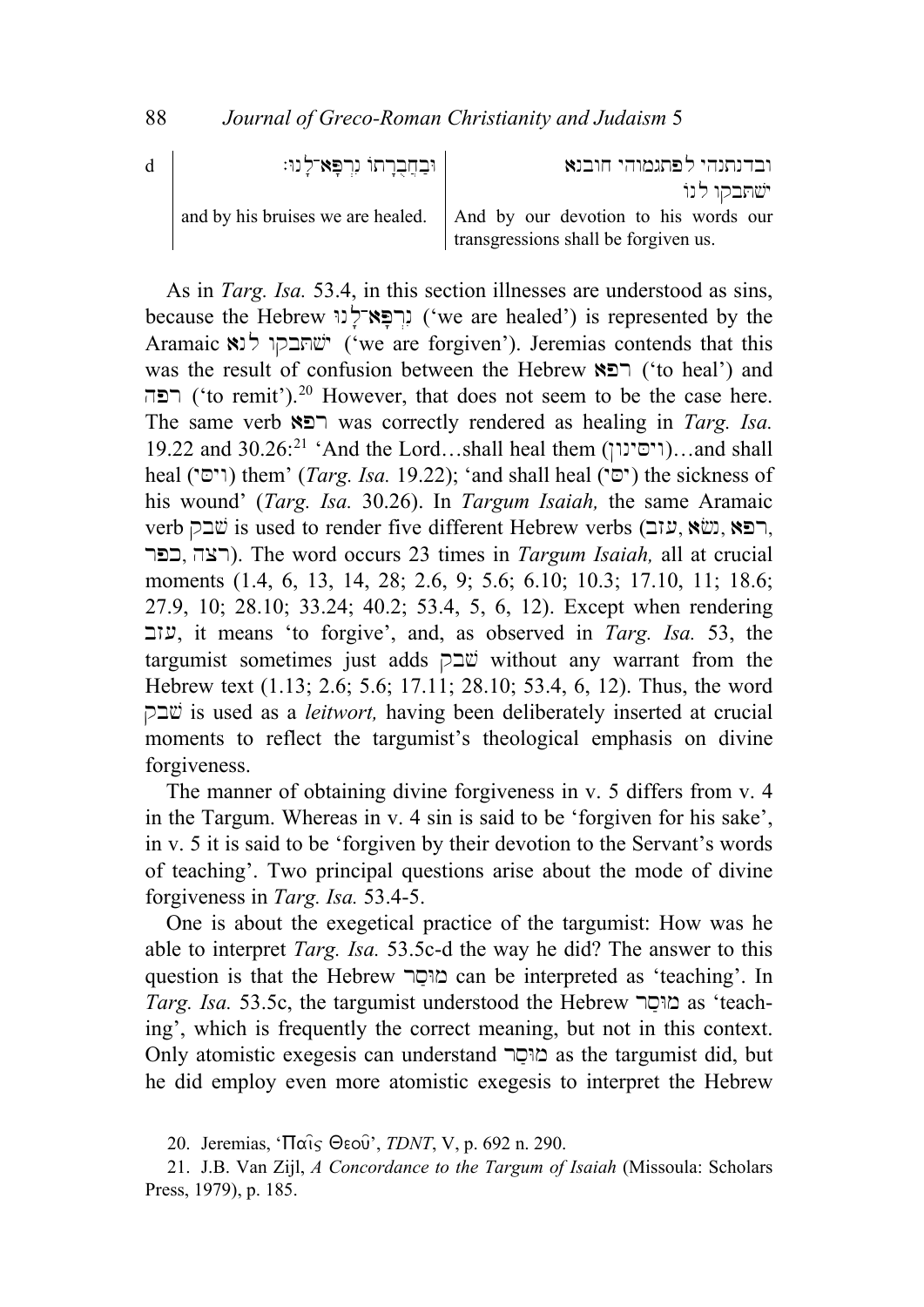| d | ובחברתו נרפא־לנו: | ובדנתנהי לפתגמוהי חובנא                                                  |
|---|-------------------|--------------------------------------------------------------------------|
|   |                   | ישתבקו לנוֹ                                                              |
|   |                   | and by his bruises we are healed.   And by our devotion to his words our |
|   |                   | transgressions shall be forgiven us.                                     |

As in *Targ. Isa.* 53.4, in this section illnesses are understood as sins, because the Hebrew יִרְפָּא־לְנוֹ ('we are healed') is represented by the Aramaic שהבקו לנא ('we are forgiven'). Jeremias contends that this was the result of confusion between the Hebrew  $\mathbb{R}$  $\Box$  ('to heal') and רפה ('to remit').<sup>[20](#page-7-0)</sup> However, that does not seem to be the case here. The same verb **רפא**  $\Box$  was correctly rendered as healing in *Targ. Isa.* 19.22 and  $30.26:^{21}$  $30.26:^{21}$  $30.26:^{21}$  'And the Lord...shall heal them ( $\lceil \cdot \rceil$ )...and shall heal ('יָם') them' *(Targ. Isa.* 19.22); 'and shall heal ('יָם') the sickness of his wound' (*Targ. Isa.* 30.26). In *Targum Isaiah,* the same Aramaic verb כא, שבק is used to render five different Hebrew verbs (עזב, אטוב, א rpk, hcr). The word occurs 23 times in *Targum Isaiah,* all at crucial moments (1.4, 6, 13, 14, 28; 2.6, 9; 5.6; 6.10; 10.3; 17.10, 11; 18.6; 27.9, 10; 28.10; 33.24; 40.2; 53.4, 5, 6, 12). Except when rendering bz(, it means 'to forgive', and, as observed in *Targ. Isa.* 53, the targumist sometimes just adds  $\Box \ddot{v}$  without any warrant from the Hebrew text (1.13; 2.6; 5.6; 17.11; 28.10; 53.4, 6, 12). Thus, the word qb#\$ is used as a *leitwort,* having been deliberately inserted at crucial moments to reflect the targumist's theological emphasis on divine forgiveness.

The manner of obtaining divine forgiveness in v. 5 differs from v. 4 in the Targum. Whereas in v. 4 sin is said to be 'forgiven for his sake', in v. 5 it is said to be 'forgiven by their devotion to the Servant's words of teaching'. Two principal questions arise about the mode of divine forgiveness in *Targ. Isa.* 53.4-5.

One is about the exegetical practice of the targumist: How was he able to interpret *Targ. Isa.* 53.5c-d the way he did? The answer to this question is that the Hebrew מוסר can be interpreted as 'teaching'. In *Targ. Isa.* 53.5c, the targumist understood the Hebrew מוּםר as 'teaching', which is frequently the correct meaning, but not in this context. Only atomistic exegesis can understand מוּםַר as the targumist did, but he did employ even more atomistic exegesis to interpret the Hebrew

<sup>20.</sup> Jeremias, 'Παις Θεού', *TDNT*, V, p. 692 n. 290.

<span id="page-7-1"></span><span id="page-7-0"></span><sup>21.</sup> J.B. Van Zijl, *A Concordance to the Targum of Isaiah* (Missoula: Scholars Press, 1979), p. 185.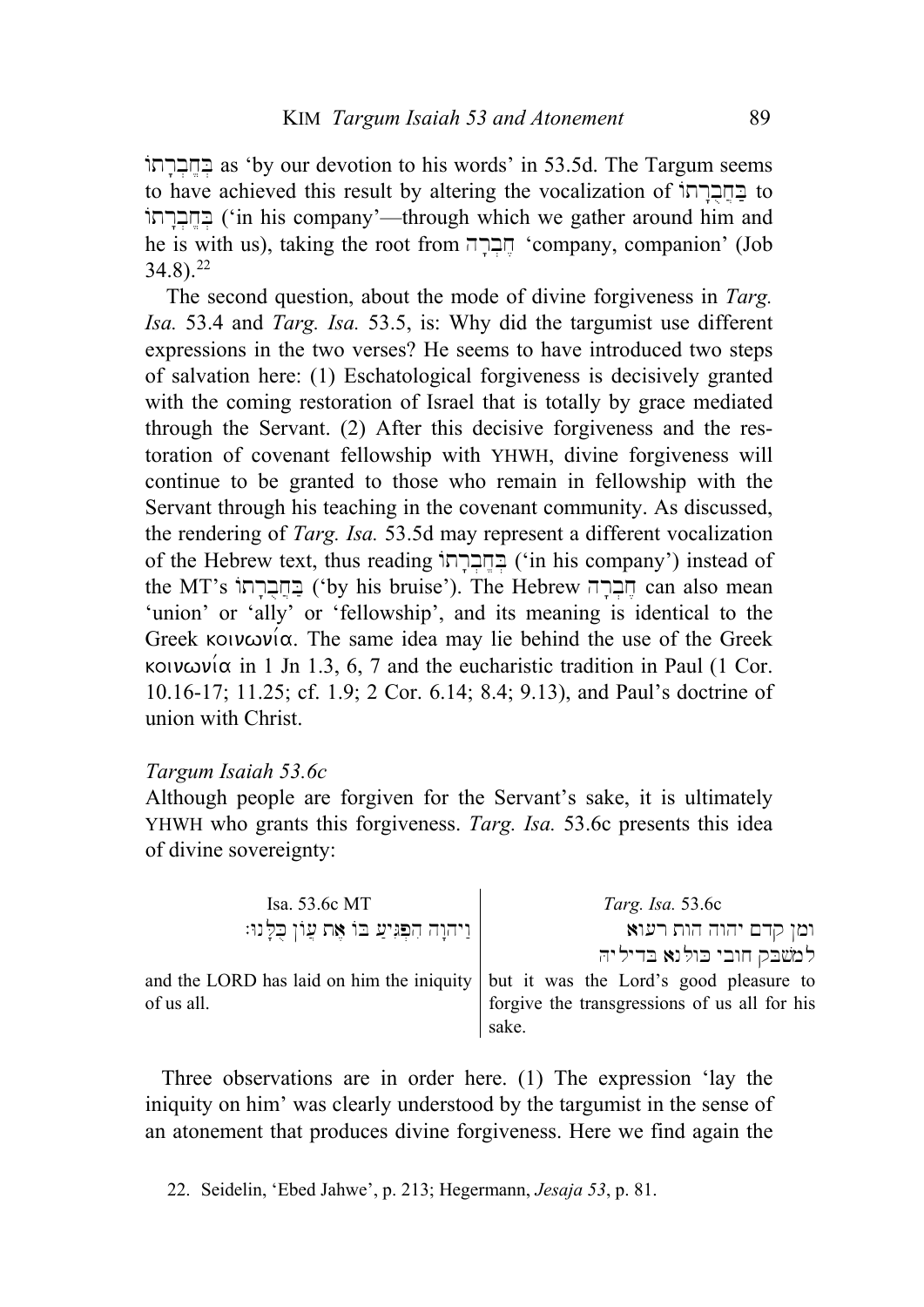הברחוֹ as 'by our devotion to his words' in 53.5d. The Targum seems to have achieved this result by altering the vocalization of בחברתו בְחֲבְרְתוֹ ('in his company'—through which we gather around him and he is with us), taking the root from חֲבְרָה 'company, companion' (Job  $34.8$ ).<sup>[22](#page-8-0)</sup>

The second question, about the mode of divine forgiveness in *Targ. Isa.* 53.4 and *Targ. Isa.* 53.5, is: Why did the targumist use different expressions in the two verses? He seems to have introduced two steps of salvation here: (1) Eschatological forgiveness is decisively granted with the coming restoration of Israel that is totally by grace mediated through the Servant. (2) After this decisive forgiveness and the restoration of covenant fellowship with YHWH, divine forgiveness will continue to be granted to those who remain in fellowship with the Servant through his teaching in the covenant community. As discussed, the rendering of *Targ. Isa.* 53.5d may represent a different vocalization of the Hebrew text, thus reading בחברתו ('in his company') instead of the MT's הברה ('by his bruise'). The Hebrew חברה can also mean 'union' or 'ally' or 'fellowship', and its meaning is identical to the Greek koiv $\omega$ v $\alpha$ . The same idea may lie behind the use of the Greek κοινωνία in 1 Jn 1.3, 6, 7 and the eucharistic tradition in Paul (1 Cor. 10.16-17; 11.25; cf. 1.9; 2 Cor. 6.14; 8.4; 9.13), and Paul's doctrine of union with Christ.

#### *Targum Isaiah 53.6c*

Although people are forgiven for the Servant's sake, it is ultimately YHWH who grants this forgiveness. *Targ. Isa.* 53.6c presents this idea of divine sovereignty:

| Isa. 53.6c MT                              | Targ. Isa. 53.6c                                                                   |
|--------------------------------------------|------------------------------------------------------------------------------------|
| וַיהוָה הִפְּגִיעַ בּוֹ אֵת עֲוֹן כְלָנוּ: | ומן קדם יהוה הות רעוא                                                              |
|                                            | למשבק חובי כולנא בדיליה                                                            |
|                                            | and the LORD has laid on him the iniquity   but it was the Lord's good pleasure to |
| of us all.                                 | forgive the transgressions of us all for his                                       |
|                                            | sake.                                                                              |

Three observations are in order here. (1) The expression 'lay the iniquity on him' was clearly understood by the targumist in the sense of an atonement that produces divine forgiveness. Here we find again the

<span id="page-8-0"></span>22. Seidelin, 'Ebed Jahwe', p. 213; Hegermann, *Jesaja 53*, p. 81.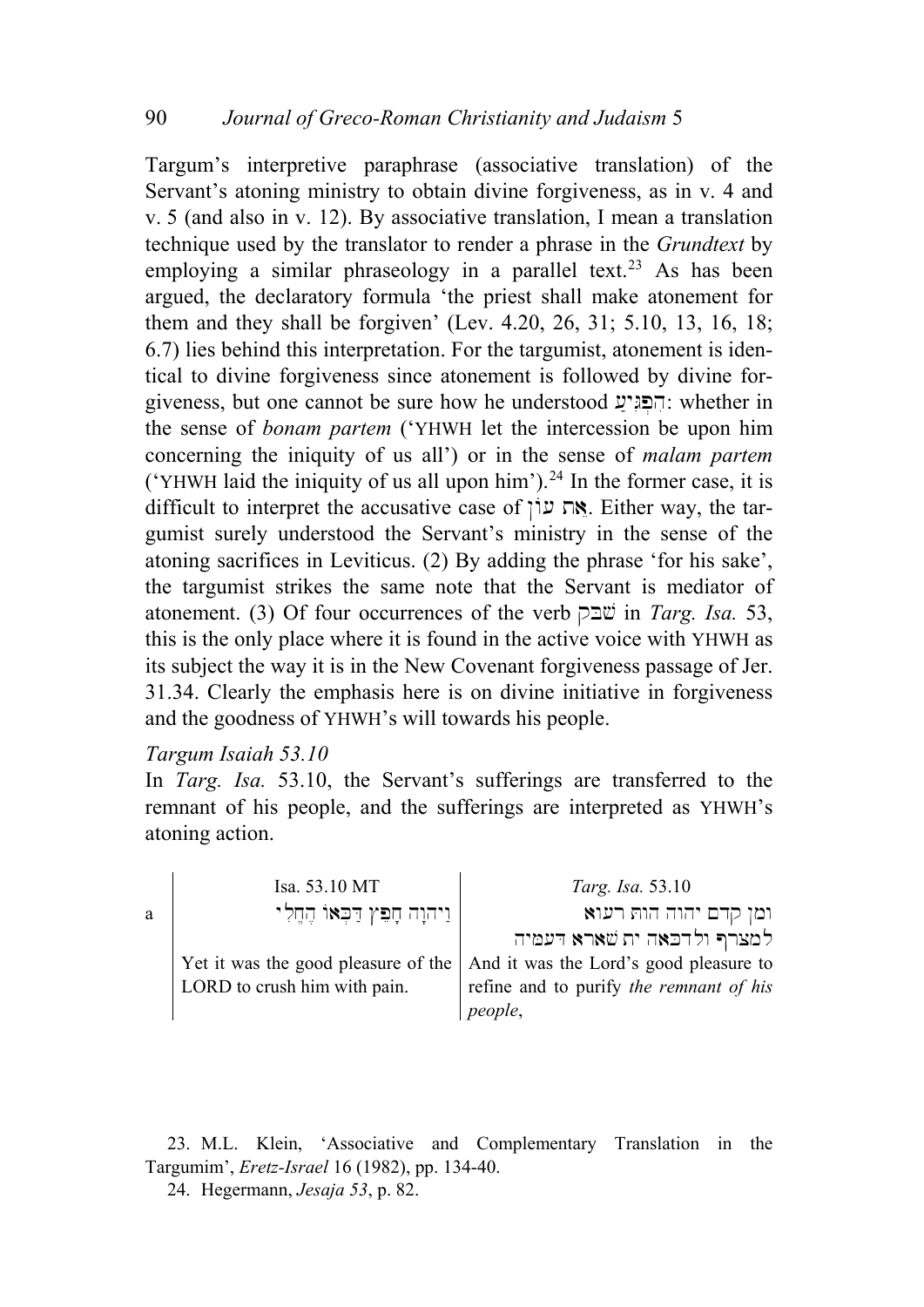Targum's interpretive paraphrase (associative translation) of the Servant's atoning ministry to obtain divine forgiveness, as in v. 4 and v. 5 (and also in v. 12). By associative translation, I mean a translation technique used by the translator to render a phrase in the *Grundtext* by employing a similar phraseology in a parallel text.<sup>[23](#page-9-0)</sup> As has been argued, the declaratory formula 'the priest shall make atonement for them and they shall be forgiven' (Lev. 4.20, 26, 31; 5.10, 13, 16, 18; 6.7) lies behind this interpretation. For the targumist, atonement is identical to divine forgiveness since atonement is followed by divine forgiveness, but one cannot be sure how he understood  $\mathcal{F}$ הפגיע: whether in the sense of *bonam partem* ('YHWH let the intercession be upon him concerning the iniquity of us all') or in the sense of *malam partem* ('YHWH laid the iniquity of us all upon him').<sup>[24](#page-9-1)</sup> In the former case, it is difficult to interpret the accusative case of  $\gamma$ . Either way, the targumist surely understood the Servant's ministry in the sense of the atoning sacrifices in Leviticus. (2) By adding the phrase 'for his sake', the targumist strikes the same note that the Servant is mediator of atonement. (3) Of four occurrences of the verb  $\Box \Box \ddot{\mathcal{L}}$  in *Targ. Isa.* 53, this is the only place where it is found in the active voice with YHWH as its subject the way it is in the New Covenant forgiveness passage of Jer. 31.34. Clearly the emphasis here is on divine initiative in forgiveness and the goodness of YHWH's will towards his people.

#### *Targum Isaiah 53.10*

In *Targ. Isa.* 53.10, the Servant's sufferings are transferred to the remnant of his people, and the sufferings are interpreted as YHWH's atoning action.

|   | Isa. 53.10 MT                 | Targ. Isa. 53.10                                                             |
|---|-------------------------------|------------------------------------------------------------------------------|
| a | ניהוָה חָפִץ דַּבְאוֹ הֶחֱלִי | ומן קדם יהוה הות רעוא                                                        |
|   |                               | למצרף ולדכאה ית שארא דעמיה                                                   |
|   |                               | Yet it was the good pleasure of the   And it was the Lord's good pleasure to |
|   | LORD to crush him with pain.  | refine and to purify the remnant of his                                      |
|   |                               | people,                                                                      |

<span id="page-9-1"></span><span id="page-9-0"></span>23. M.L. Klein, 'Associative and Complementary Translation in the Targumim', *Eretz-Israel* 16 (1982), pp. 134-40.

24. Hegermann, *Jesaja 53*, p. 82.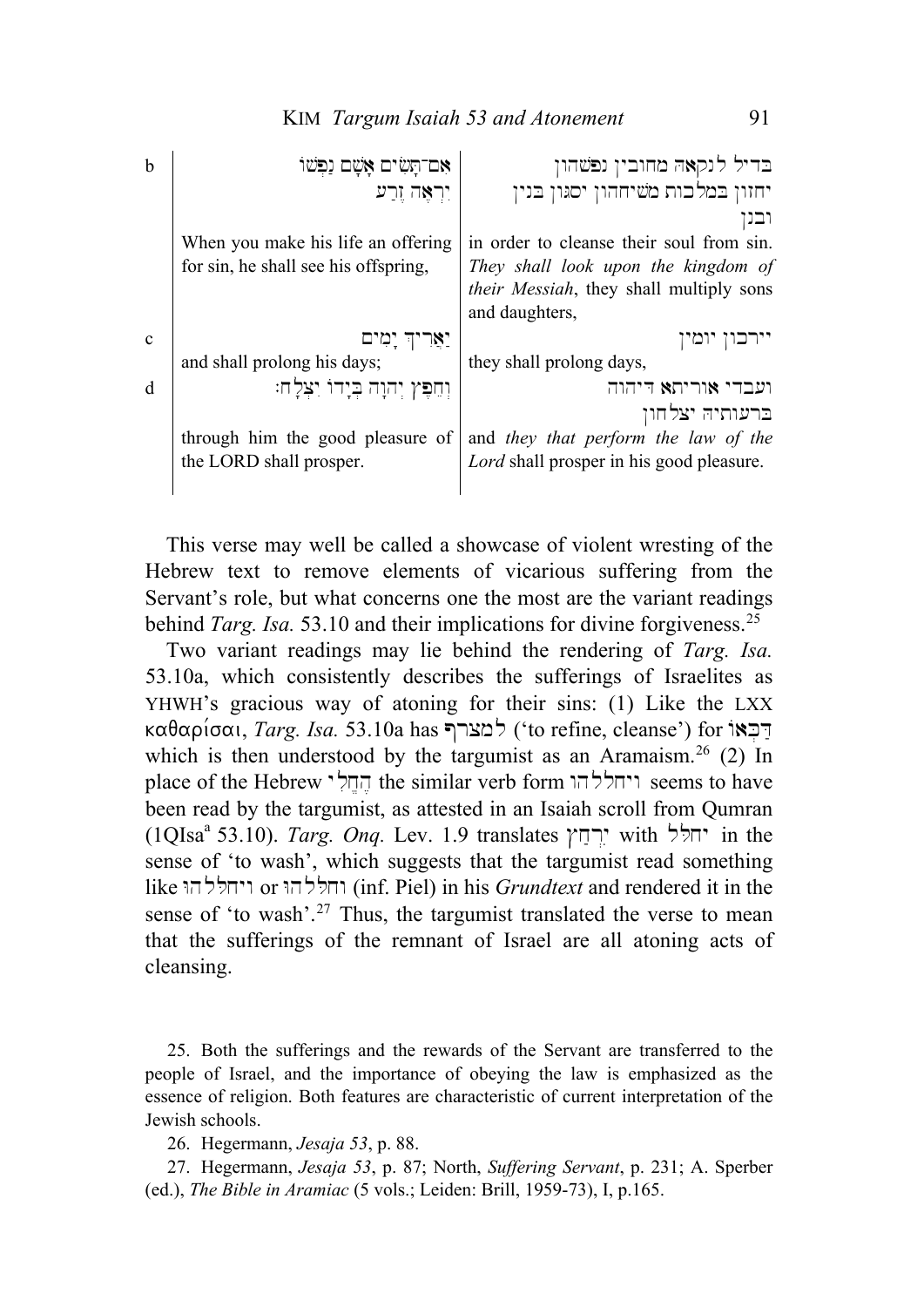| b            | אם־תּשׂים אשם ו                      | בדיל לנקאה מחובין נפשהון                        |
|--------------|--------------------------------------|-------------------------------------------------|
|              | יִרְאֵה זֶרֵע                        | יחזון במלכות משיחהון יסגון בנין                 |
|              |                                      |                                                 |
|              | When you make his life an offering   | in order to cleanse their soul from sin.        |
|              | for sin, he shall see his offspring, | They shall look upon the kingdom of             |
|              |                                      | <i>their Messiah</i> , they shall multiply sons |
|              |                                      | and daughters,                                  |
| $\mathbf{c}$ | יאריד יטים                           | יומי                                            |
|              |                                      |                                                 |
|              | and shall prolong his days;          | they shall prolong days,                        |
| d            | וִחֵפִּץ יִהוָה בִיָדוֹ יִצְלָח:     | ועבדי אוריתא דיהוה                              |
|              |                                      | ברעותיה יצלחון                                  |
|              | through him the good pleasure of     | and they that perform the law of the            |
|              | the LORD shall prosper.              | Lord shall prosper in his good pleasure.        |

This verse may well be called a showcase of violent wresting of the Hebrew text to remove elements of vicarious suffering from the Servant's role, but what concerns one the most are the variant readings behind *Targ. Isa.* 53.10 and their implications for divine forgiveness.<sup>[25](#page-10-0)</sup>

Two variant readings may lie behind the rendering of *Targ. Isa.* 53.10a, which consistently describes the sufferings of Israelites as YHWH's gracious way of atoning for their sins: (1) Like the LXX kαθαρίσαι, *Targ. Isa.* 53.10a has כמצרף ('to refine, cleanse') for  $\vec{r}$ דבאו which is then understood by the targumist as an Aramaism.<sup>[26](#page-10-1)</sup> (2) In place of the Hebrew ויחללהו the similar verb form ויחללהו seems to have been read by the targumist, as attested in an Isaiah scroll from Qumran  $(1QIsa<sup>a</sup> 53.10)$ . *Targ. Ong.* Lev. 1.9 translates יחלל with  $\dot{Q}$  in the sense of 'to wash', which suggests that the targumist read something  $\mathbf{R}$ וחללהו or ויחללהו (inf. Piel) in his *Grundtext* and rendered it in the sense of 'to wash'.<sup>[27](#page-10-2)</sup> Thus, the targumist translated the verse to mean that the sufferings of the remnant of Israel are all atoning acts of cleansing.

<span id="page-10-0"></span>25. Both the sufferings and the rewards of the Servant are transferred to the people of Israel, and the importance of obeying the law is emphasized as the essence of religion. Both features are characteristic of current interpretation of the Jewish schools.

26. Hegermann, *Jesaja 53*, p. 88.

<span id="page-10-2"></span><span id="page-10-1"></span>27. Hegermann, *Jesaja 53*, p. 87; North, *Suffering Servant*, p. 231; A. Sperber (ed.), *The Bible in Aramiac* (5 vols.; Leiden: Brill, 1959-73), I, p.165.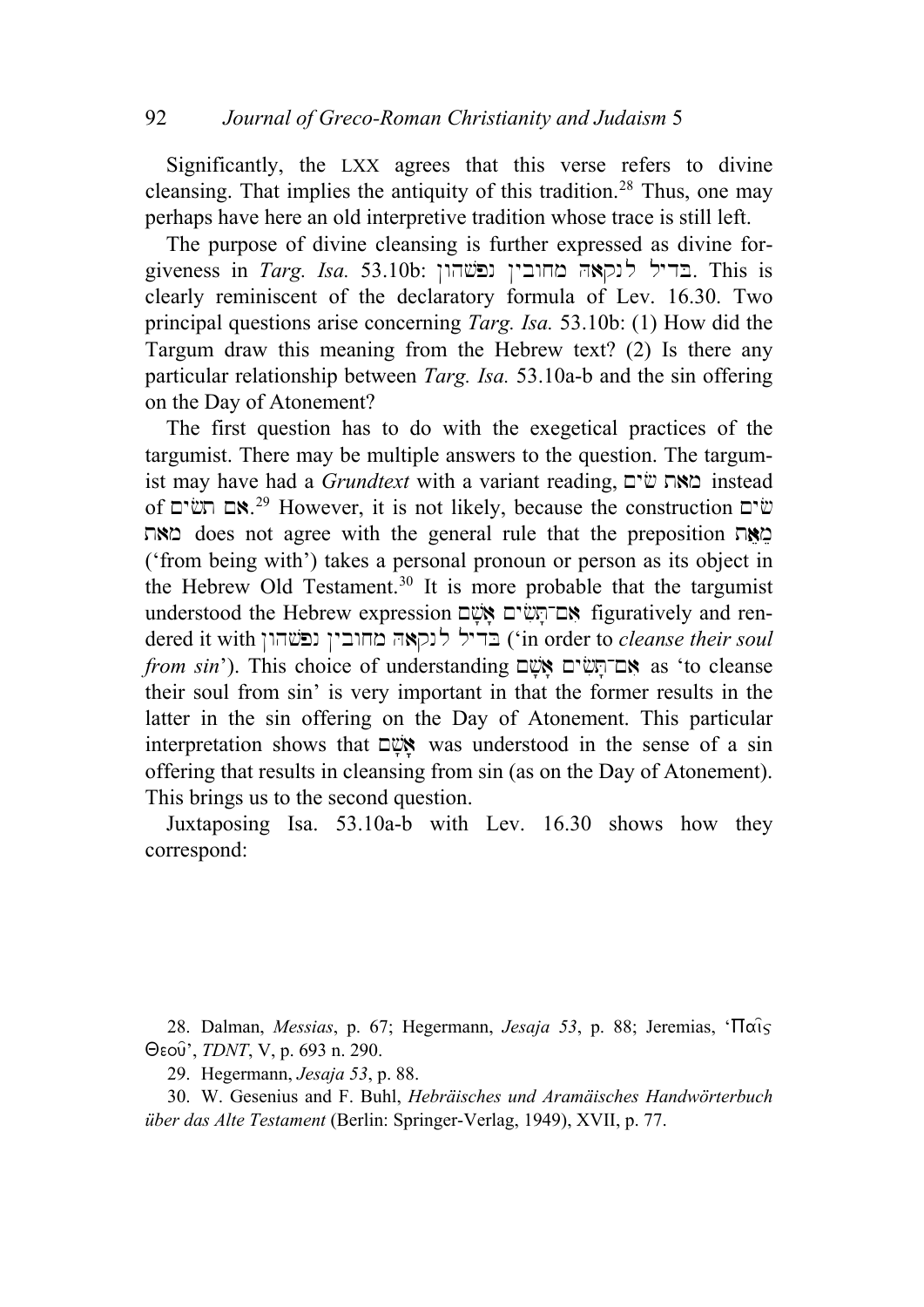Significantly, the LXX agrees that this verse refers to divine cleansing. That implies the antiquity of this tradition.<sup>[28](#page-11-0)</sup> Thus, one may perhaps have here an old interpretive tradition whose trace is still left.

The purpose of divine cleansing is further expressed as divine forgiveness in *Targ. Isa.* 53.10b: בדיל לנקאה מחובין נפשהון. This is clearly reminiscent of the declaratory formula of Lev. 16.30. Two principal questions arise concerning *Targ. Isa.* 53.10b: (1) How did the Targum draw this meaning from the Hebrew text? (2) Is there any particular relationship between *Targ. Isa.* 53.10a-b and the sin offering on the Day of Atonement?

The first question has to do with the exegetical practices of the targumist. There may be multiple answers to the question. The targumist may have had a *Grundtext* with a variant reading, **מאת ש**<sup>2</sup> instead of שים חש"ם.<sup>[29](#page-11-1)</sup> However, it is not likely, because the construction  $\ddot{w}$ מאה does not agree with the general rule that the preposition  $\Box$ ('from being with') takes a personal pronoun or person as its object in the Hebrew Old Testament.[30](#page-11-2) It is more probable that the targumist understood the Hebrew expression השבחת figuratively and rendered it with החובין נפשהון (in order to *cleanse their soul from sin*'). This choice of understanding *אם*־תֲשִׂים Mas 'to cleanse their soul from sin' is very important in that the former results in the latter in the sin offering on the Day of Atonement. This particular interpretation shows that  $\Box$  was understood in the sense of a sin offering that results in cleansing from sin (as on the Day of Atonement). This brings us to the second question.

Juxtaposing Isa. 53.10a-b with Lev. 16.30 shows how they correspond:

<span id="page-11-0"></span>28. Dalman, *Messias*, p. 67; Hegermann, *Jesaja 53*, p. 88; Jeremias, ' $\Pi$  $\alpha$ is Qeou=', *TDNT*, V, p. 693 n. 290.

29. Hegermann, *Jesaja 53*, p. 88.

<span id="page-11-2"></span><span id="page-11-1"></span>30. W. Gesenius and F. Buhl, *Hebräisches und Aramäisches Handwörterbuch über das Alte Testament* (Berlin: Springer-Verlag, 1949), XVII, p. 77.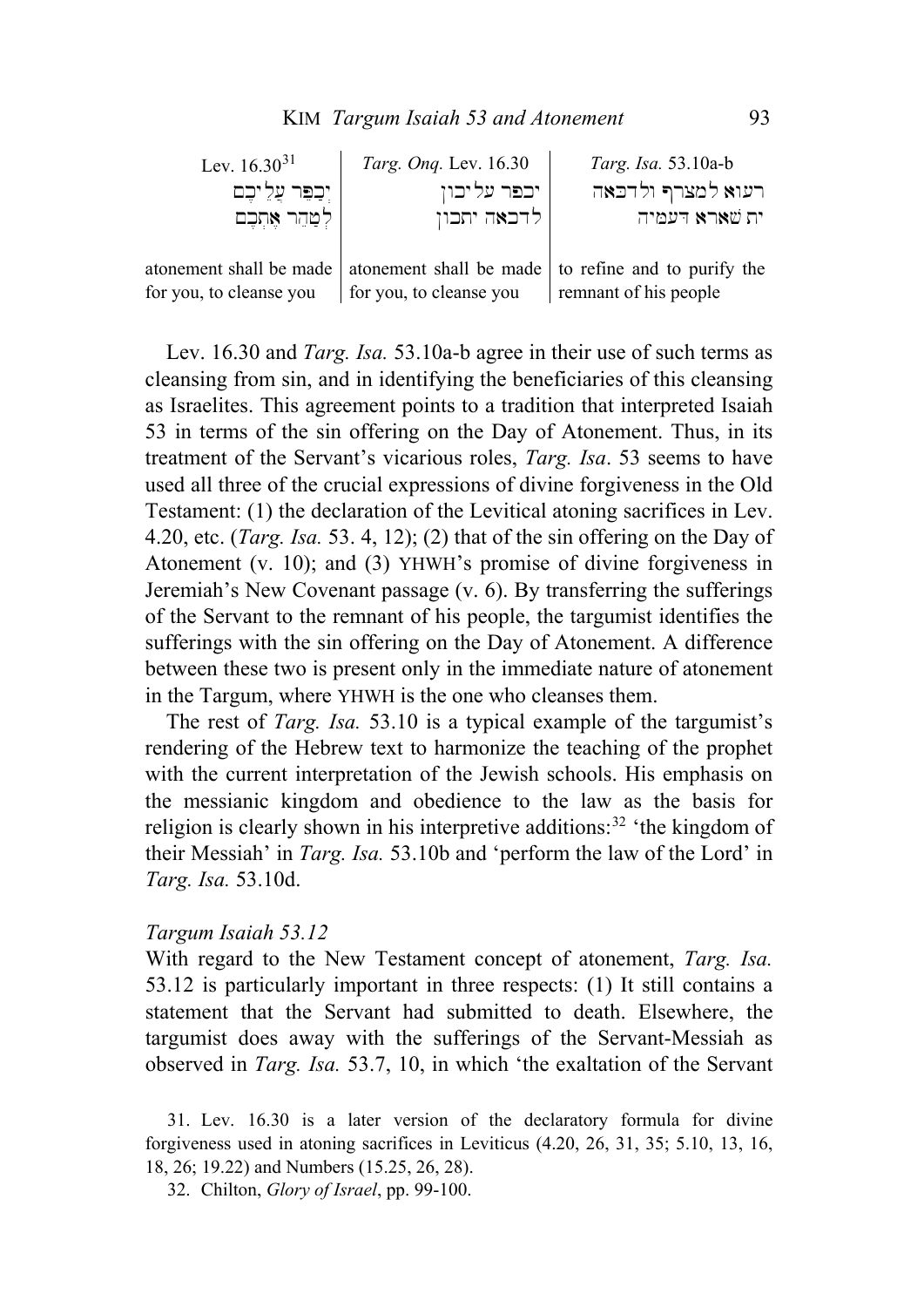| Lev. $16.30^{31}$       | Targ. Ong. Lev. 16.30   | Targ. Isa. 53.10a-b                                                             |
|-------------------------|-------------------------|---------------------------------------------------------------------------------|
| יִכְפֵּר עֲלֶ יִכֶם     | יכפר עליכון             | רעוא למצרף ולדכאה                                                               |
| לִטְהֵר אֶתְכֶם         | לדכאה יתכון             | ית שארא דעמיה                                                                   |
|                         |                         |                                                                                 |
|                         |                         | atonement shall be made   atonement shall be made   to refine and to purify the |
| for you, to cleanse you | for you, to cleanse you | remnant of his people                                                           |

Lev. 16.30 and *Targ. Isa.* 53.10a-b agree in their use of such terms as cleansing from sin, and in identifying the beneficiaries of this cleansing as Israelites. This agreement points to a tradition that interpreted Isaiah 53 in terms of the sin offering on the Day of Atonement. Thus, in its treatment of the Servant's vicarious roles, *Targ. Isa*. 53 seems to have used all three of the crucial expressions of divine forgiveness in the Old Testament: (1) the declaration of the Levitical atoning sacrifices in Lev. 4.20, etc. (*Targ. Isa.* 53. 4, 12); (2) that of the sin offering on the Day of Atonement (v. 10); and (3) YHWH's promise of divine forgiveness in Jeremiah's New Covenant passage (v. 6). By transferring the sufferings of the Servant to the remnant of his people, the targumist identifies the sufferings with the sin offering on the Day of Atonement. A difference between these two is present only in the immediate nature of atonement in the Targum, where YHWH is the one who cleanses them.

The rest of *Targ. Isa.* 53.10 is a typical example of the targumist's rendering of the Hebrew text to harmonize the teaching of the prophet with the current interpretation of the Jewish schools. His emphasis on the messianic kingdom and obedience to the law as the basis for religion is clearly shown in his interpretive additions:  $32$  'the kingdom of their Messiah' in *Targ. Isa.* 53.10b and 'perform the law of the Lord' in *Targ. Isa.* 53.10d.

#### *Targum Isaiah 53.12*

With regard to the New Testament concept of atonement, *Targ. Isa.*  53.12 is particularly important in three respects: (1) It still contains a statement that the Servant had submitted to death. Elsewhere, the targumist does away with the sufferings of the Servant-Messiah as observed in *Targ. Isa.* 53.7, 10, in which 'the exaltation of the Servant

<span id="page-12-1"></span><span id="page-12-0"></span>31. Lev. 16.30 is a later version of the declaratory formula for divine forgiveness used in atoning sacrifices in Leviticus (4.20, 26, 31, 35; 5.10, 13, 16, 18, 26; 19.22) and Numbers (15.25, 26, 28).

32. Chilton, *Glory of Israel*, pp. 99-100.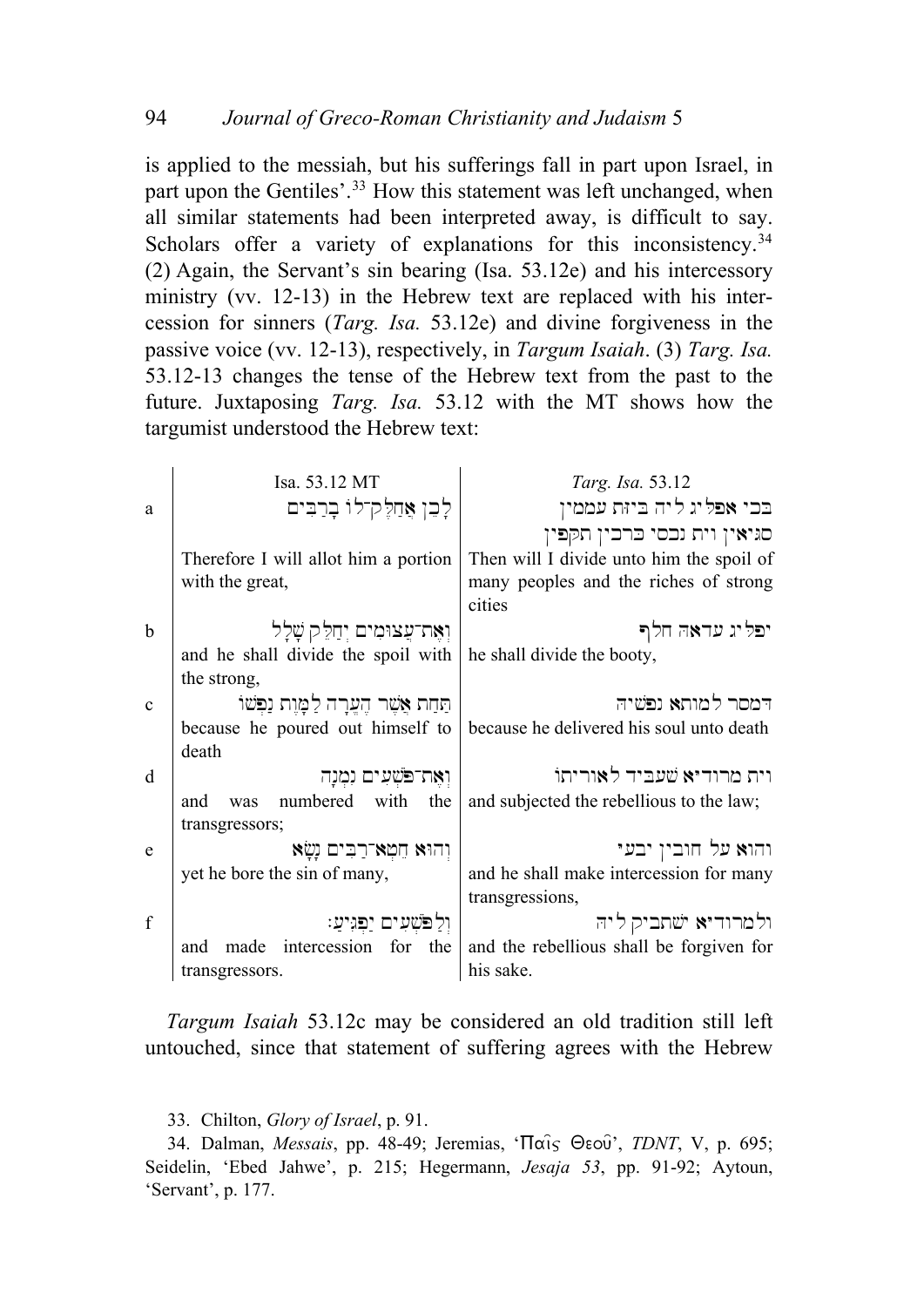is applied to the messiah, but his sufferings fall in part upon Israel, in part upon the Gentiles'.<sup>[33](#page-13-0)</sup> How this statement was left unchanged, when all similar statements had been interpreted away, is difficult to say. Scholars offer a variety of explanations for this inconsistency.<sup>[34](#page-13-1)</sup> (2) Again, the Servant's sin bearing (Isa. 53.12e) and his intercessory ministry (vv. 12-13) in the Hebrew text are replaced with his intercession for sinners (*Targ. Isa.* 53.12e) and divine forgiveness in the passive voice (vv. 12-13), respectively, in *Targum Isaiah*. (3) *Targ. Isa.* 53.12-13 changes the tense of the Hebrew text from the past to the future. Juxtaposing *Targ. Isa.* 53.12 with the MT shows how the targumist understood the Hebrew text:

|              | Isa. 53.12 MT                            | Targ. Isa. 53.12                         |
|--------------|------------------------------------------|------------------------------------------|
| a            | לֶבֵן אֲחַלֶּקְ־לוֹ בָרַבִּים            | בכי אפליג ליה ביזת עממין                 |
|              |                                          | סגיאין וית נכסי כרכין תקפין              |
|              | Therefore I will allot him a portion     | Then will I divide unto him the spoil of |
|              | with the great,                          | many peoples and the riches of strong    |
|              |                                          | cities                                   |
| $\mathbf b$  | וְאֶת־עֲצוּמִים יְחַלֵּק שָׁלָל          | יפליג עדאה חלף                           |
|              | and he shall divide the spoil with       | he shall divide the booty,               |
|              | the strong,                              |                                          |
| $\mathbf{c}$ | תַּחַת אֲשֵׁר הֵעֲרָה לַמָּוֵת נַפִּשׁוֹ | דמסר למותא נפשיה                         |
|              | because he poured out himself to         | because he delivered his soul unto death |
|              | death                                    |                                          |
| d            | ואת־פֹּשְׁעִים נִמְנַה                   | וית מרודיא שעביד לאוריתו                 |
|              | numbered<br>with<br>the<br>and<br>was    | and subjected the rebellious to the law; |
|              | transgressors;                           |                                          |
| e            | וְהוּא חֵמְא־רַבִּים נָשָׂא              | והוא על חובין יבעי                       |
|              | yet he bore the sin of many,             | and he shall make intercession for many  |
|              |                                          | transgressions,                          |
| $\mathbf{f}$ | וִלַפֹּשִׁעִים יַפְגִיעַ:                | ולמרודיא ישתביק ליה                      |
|              | intercession for the<br>made<br>and      | and the rebellious shall be forgiven for |
|              | transgressors.                           | his sake.                                |

*Targum Isaiah* 53.12c may be considered an old tradition still left untouched, since that statement of suffering agrees with the Hebrew

33. Chilton, *Glory of Israel*, p. 91.

<span id="page-13-1"></span><span id="page-13-0"></span>34. Dalman, *Messais*, pp. 48-49; Jeremias, ' $\Pi$ αις Θεού', *TDNT*, V, p. 695; Seidelin, 'Ebed Jahwe', p. 215; Hegermann, *Jesaja 53*, pp. 91-92; Aytoun, 'Servant', p. 177.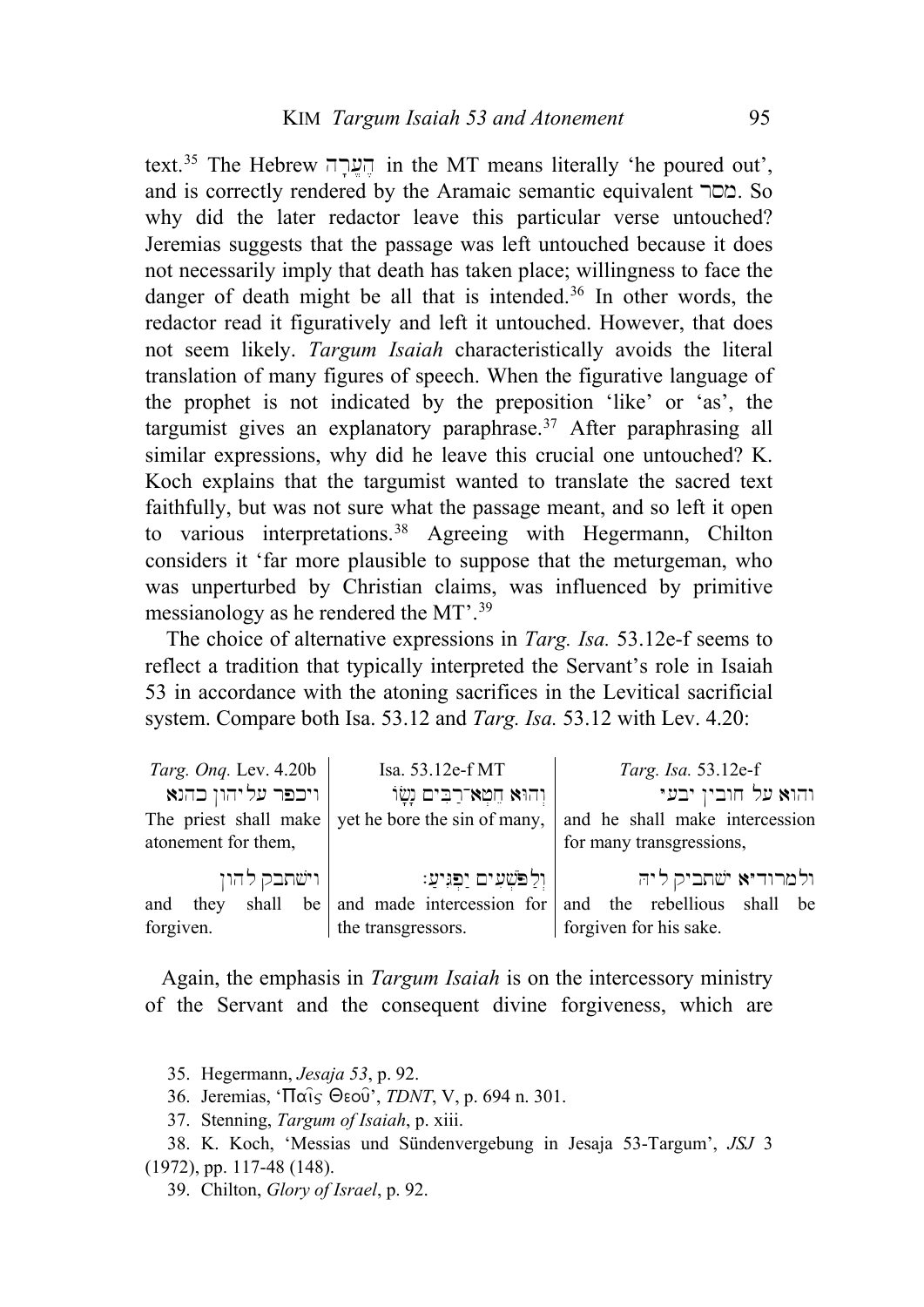text.<sup>[35](#page-14-0)</sup> The Hebrew הערה in the MT means literally 'he poured out', and is correctly rendered by the Aramaic semantic equivalent  $\sim$  So. why did the later redactor leave this particular verse untouched? Jeremias suggests that the passage was left untouched because it does not necessarily imply that death has taken place; willingness to face the danger of death might be all that is intended.<sup>[36](#page-14-1)</sup> In other words, the redactor read it figuratively and left it untouched. However, that does not seem likely. *Targum Isaiah* characteristically avoids the literal translation of many figures of speech. When the figurative language of the prophet is not indicated by the preposition 'like' or 'as', the targumist gives an explanatory paraphrase.<sup>[37](#page-14-2)</sup> After paraphrasing all similar expressions, why did he leave this crucial one untouched? K. Koch explains that the targumist wanted to translate the sacred text faithfully, but was not sure what the passage meant, and so left it open to various interpretations.<sup>[38](#page-14-3)</sup> Agreeing with Hegermann, Chilton considers it 'far more plausible to suppose that the meturgeman, who was unperturbed by Christian claims, was influenced by primitive messianology as he rendered the MT'.[39](#page-14-4)

The choice of alternative expressions in *Targ. Isa.* 53.12e-f seems to reflect a tradition that typically interpreted the Servant's role in Isaiah 53 in accordance with the atoning sacrifices in the Levitical sacrificial system. Compare both Isa. 53.12 and *Targ. Isa.* 53.12 with Lev. 4.20:

| <i>Targ. Ong. Lev.</i> 4.20b                               |  |                    |  | Isa. 53.12e-f MT             |                                                                         |  | Targ. Isa. 53.12e-f |                     |                        |  |  |
|------------------------------------------------------------|--|--------------------|--|------------------------------|-------------------------------------------------------------------------|--|---------------------|---------------------|------------------------|--|--|
|                                                            |  | ויכפר על יהון כהנא |  |                              | וְהוּא חֵמָא־רַבִּים נָשָׂוֹ                                            |  |                     | והוא על חובין יבעי  |                        |  |  |
| The priest shall make $\vert$ yet he bore the sin of many, |  |                    |  |                              | and he shall make intercession                                          |  |                     |                     |                        |  |  |
| atonement for them,                                        |  |                    |  |                              | for many transgressions,                                                |  |                     |                     |                        |  |  |
| ' וישתבק להון                                              |  |                    |  | ן וְלַפֹּשְׁעִים יַפְּגִיעַ: |                                                                         |  |                     | ולמרודיא ישתביק ליה |                        |  |  |
|                                                            |  |                    |  |                              | and they shall be and made intercession for and the rebellious shall be |  |                     |                     |                        |  |  |
| forgiven.                                                  |  |                    |  | the transgressors.           |                                                                         |  |                     |                     | forgiven for his sake. |  |  |

Again, the emphasis in *Targum Isaiah* is on the intercessory ministry of the Servant and the consequent divine forgiveness, which are

- 35. Hegermann, *Jesaja 53*, p. 92.
- 36. Jeremias, 'Παίς Θεού', *TDNT*, V, p. 694 n. 301.
- 37. Stenning, *Targum of Isaiah*, p. xiii.
- <span id="page-14-4"></span><span id="page-14-3"></span><span id="page-14-2"></span><span id="page-14-1"></span><span id="page-14-0"></span>38. K. Koch, 'Messias und Sündenvergebung in Jesaja 53-Targum', *JSJ* 3 (1972), pp. 117-48 (148).
	- 39. Chilton, *Glory of Israel*, p. 92.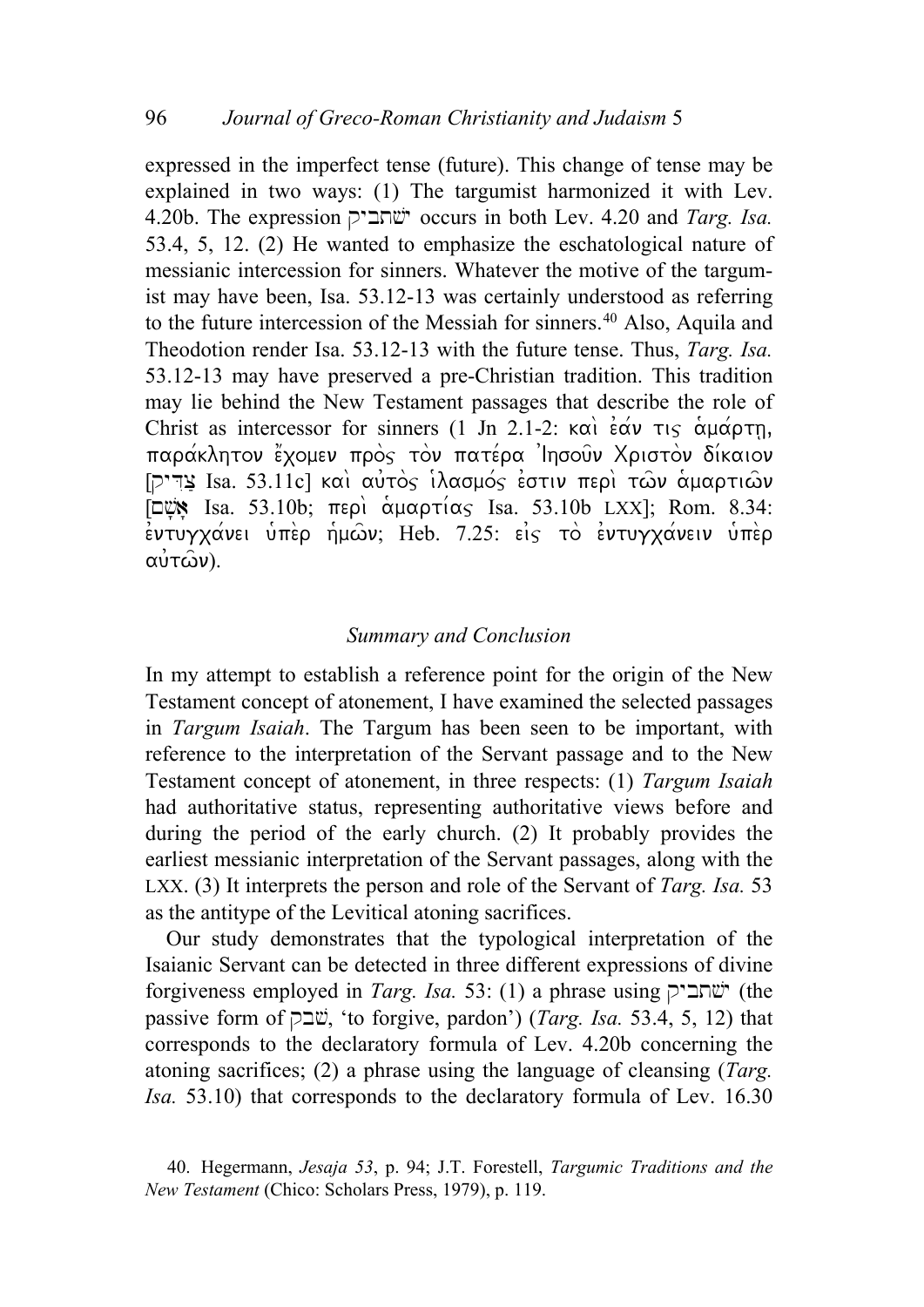expressed in the imperfect tense (future). This change of tense may be explained in two ways: (1) The targumist harmonized it with Lev. 4.20b. The expression qybt#\$y occurs in both Lev. 4.20 and *Targ. Isa.* 53.4, 5, 12. (2) He wanted to emphasize the eschatological nature of messianic intercession for sinners. Whatever the motive of the targumist may have been, Isa. 53.12-13 was certainly understood as referring to the future intercession of the Messiah for sinners.<sup>[40](#page-15-0)</sup> Also, Aquila and Theodotion render Isa. 53.12-13 with the future tense. Thus, *Targ. Isa.* 53.12-13 may have preserved a pre-Christian tradition. This tradition may lie behind the New Testament passages that describe the role of Christ as intercessor for sinners (1 Jn 2.1-2:  $\kappa \alpha \hat{i} \times \hat{\alpha} \hat{i} \times \hat{j} \times \hat{k}$ παράκλητον έχομεν πρός τον πατέρα 'Ιησούν Χριστον δίκαιον [עֲדִיק] Isa. 53.11c] και αυτός ιλασμός εστιν περι των αμαρτιων  $\boxed{\Box w}$  Isa. 53.10b; περί αμαρτίας Isa. 53.10b LXX]; Rom. 8.34:  $\frac{1}{2}$ εντυγχανει υπέρ ήμων; Heb. 7.25: είς το εντυγχανειν υπέρ  $α*υ*τ<sub>ω</sub>*υ*).$ 

## *Summary and Conclusion*

In my attempt to establish a reference point for the origin of the New Testament concept of atonement, I have examined the selected passages in *Targum Isaiah*. The Targum has been seen to be important, with reference to the interpretation of the Servant passage and to the New Testament concept of atonement, in three respects: (1) *Targum Isaiah* had authoritative status, representing authoritative views before and during the period of the early church. (2) It probably provides the earliest messianic interpretation of the Servant passages, along with the LXX. (3) It interprets the person and role of the Servant of *Targ. Isa.* 53 as the antitype of the Levitical atoning sacrifices.

Our study demonstrates that the typological interpretation of the Isaianic Servant can be detected in three different expressions of divine forgiveness employed in *Targ. Isa.* 53: (1) a phrase using  $\ddot{\text{y}}$  (the passive form of qb#\$, 'to forgive, pardon') (*Targ. Isa.* 53.4, 5, 12) that corresponds to the declaratory formula of Lev. 4.20b concerning the atoning sacrifices; (2) a phrase using the language of cleansing (*Targ. Isa.* 53.10) that corresponds to the declaratory formula of Lev. 16.30

<span id="page-15-0"></span><sup>40.</sup> Hegermann, *Jesaja 53*, p. 94; J.T. Forestell, *Targumic Traditions and the New Testament* (Chico: Scholars Press, 1979), p. 119.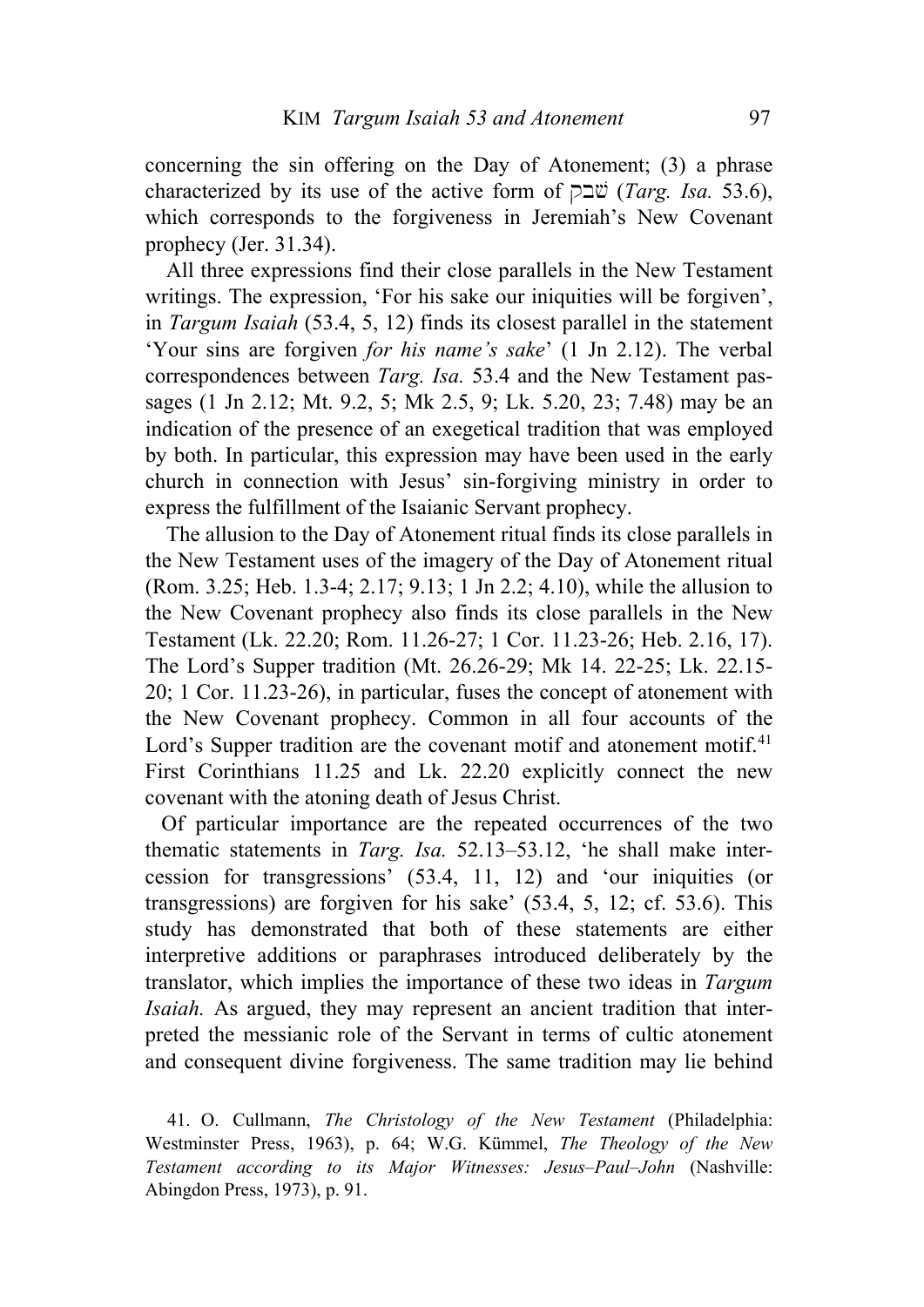concerning the sin offering on the Day of Atonement; (3) a phrase characterized by its use of the active form of  $\Box \ddot{v}$  (*Targ. Isa.* 53.6), which corresponds to the forgiveness in Jeremiah's New Covenant prophecy (Jer. 31.34).

All three expressions find their close parallels in the New Testament writings. The expression, 'For his sake our iniquities will be forgiven', in *Targum Isaiah* (53.4, 5, 12) finds its closest parallel in the statement 'Your sins are forgiven *for his name's sake*' (1 Jn 2.12). The verbal correspondences between *Targ. Isa.* 53.4 and the New Testament passages (1 Jn 2.12; Mt. 9.2, 5; Mk 2.5, 9; Lk. 5.20, 23; 7.48) may be an indication of the presence of an exegetical tradition that was employed by both. In particular, this expression may have been used in the early church in connection with Jesus' sin-forgiving ministry in order to express the fulfillment of the Isaianic Servant prophecy.

The allusion to the Day of Atonement ritual finds its close parallels in the New Testament uses of the imagery of the Day of Atonement ritual (Rom. 3.25; Heb. 1.3-4; 2.17; 9.13; 1 Jn 2.2; 4.10), while the allusion to the New Covenant prophecy also finds its close parallels in the New Testament (Lk. 22.20; Rom. 11.26-27; 1 Cor. 11.23-26; Heb. 2.16, 17). The Lord's Supper tradition (Mt. 26.26-29; Mk 14. 22-25; Lk. 22.15- 20; 1 Cor. 11.23-26), in particular, fuses the concept of atonement with the New Covenant prophecy. Common in all four accounts of the Lord's Supper tradition are the covenant motif and atonement motif.<sup>[41](#page-16-0)</sup> First Corinthians 11.25 and Lk. 22.20 explicitly connect the new covenant with the atoning death of Jesus Christ.

Of particular importance are the repeated occurrences of the two thematic statements in *Targ. Isa.* 52.13–53.12, 'he shall make intercession for transgressions' (53.4, 11, 12) and 'our iniquities (or transgressions) are forgiven for his sake' (53.4, 5, 12; cf. 53.6). This study has demonstrated that both of these statements are either interpretive additions or paraphrases introduced deliberately by the translator, which implies the importance of these two ideas in *Targum Isaiah.* As argued, they may represent an ancient tradition that interpreted the messianic role of the Servant in terms of cultic atonement and consequent divine forgiveness. The same tradition may lie behind

<span id="page-16-0"></span>41. O. Cullmann, *The Christology of the New Testament* (Philadelphia: Westminster Press, 1963), p. 64; W.G. Kümmel, *The Theology of the New Testament according to its Major Witnesses: Jesus–Paul–John* (Nashville: Abingdon Press, 1973), p. 91.